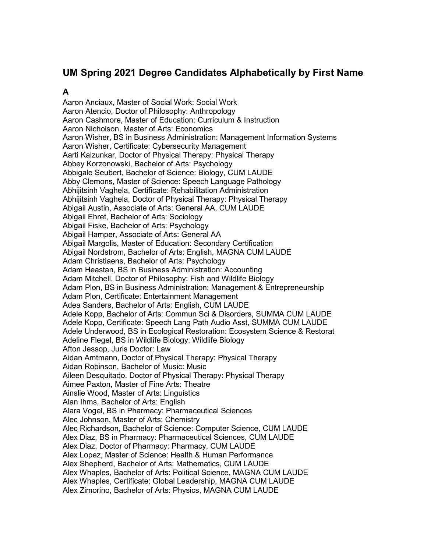# **UM Spring 2021 Degree Candidates Alphabetically by First Name**

### **A**

Aaron Anciaux, Master of Social Work: Social Work Aaron Atencio, Doctor of Philosophy: Anthropology Aaron Cashmore, Master of Education: Curriculum & Instruction Aaron Nicholson, Master of Arts: Economics Aaron Wisher, BS in Business Administration: Management Information Systems Aaron Wisher, Certificate: Cybersecurity Management Aarti Kalzunkar, Doctor of Physical Therapy: Physical Therapy Abbey Korzonowski, Bachelor of Arts: Psychology Abbigale Seubert, Bachelor of Science: Biology, CUM LAUDE Abby Clemons, Master of Science: Speech Language Pathology Abhijitsinh Vaghela, Certificate: Rehabilitation Administration Abhijitsinh Vaghela, Doctor of Physical Therapy: Physical Therapy Abigail Austin, Associate of Arts: General AA, CUM LAUDE Abigail Ehret, Bachelor of Arts: Sociology Abigail Fiske, Bachelor of Arts: Psychology Abigail Hamper, Associate of Arts: General AA Abigail Margolis, Master of Education: Secondary Certification Abigail Nordstrom, Bachelor of Arts: English, MAGNA CUM LAUDE Adam Christiaens, Bachelor of Arts: Psychology Adam Heastan, BS in Business Administration: Accounting Adam Mitchell, Doctor of Philosophy: Fish and Wildlife Biology Adam Plon, BS in Business Administration: Management & Entrepreneurship Adam Plon, Certificate: Entertainment Management Adea Sanders, Bachelor of Arts: English, CUM LAUDE Adele Kopp, Bachelor of Arts: Commun Sci & Disorders, SUMMA CUM LAUDE Adele Kopp, Certificate: Speech Lang Path Audio Asst, SUMMA CUM LAUDE Adele Underwood, BS in Ecological Restoration: Ecosystem Science & Restorat Adeline Flegel, BS in Wildlife Biology: Wildlife Biology Afton Jessop, Juris Doctor: Law Aidan Amtmann, Doctor of Physical Therapy: Physical Therapy Aidan Robinson, Bachelor of Music: Music Aileen Desquitado, Doctor of Physical Therapy: Physical Therapy Aimee Paxton, Master of Fine Arts: Theatre Ainslie Wood, Master of Arts: Linguistics Alan Ihms, Bachelor of Arts: English Alara Vogel, BS in Pharmacy: Pharmaceutical Sciences Alec Johnson, Master of Arts: Chemistry Alec Richardson, Bachelor of Science: Computer Science, CUM LAUDE Alex Diaz, BS in Pharmacy: Pharmaceutical Sciences, CUM LAUDE Alex Diaz, Doctor of Pharmacy: Pharmacy, CUM LAUDE Alex Lopez, Master of Science: Health & Human Performance Alex Shepherd, Bachelor of Arts: Mathematics, CUM LAUDE Alex Whaples, Bachelor of Arts: Political Science, MAGNA CUM LAUDE Alex Whaples, Certificate: Global Leadership, MAGNA CUM LAUDE Alex Zimorino, Bachelor of Arts: Physics, MAGNA CUM LAUDE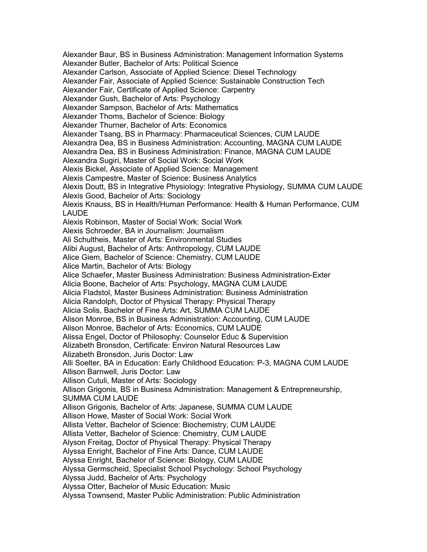Alexander Baur, BS in Business Administration: Management Information Systems Alexander Butler, Bachelor of Arts: Political Science Alexander Carlson, Associate of Applied Science: Diesel Technology Alexander Fair, Associate of Applied Science: Sustainable Construction Tech Alexander Fair, Certificate of Applied Science: Carpentry Alexander Gush, Bachelor of Arts: Psychology Alexander Sampson, Bachelor of Arts: Mathematics Alexander Thoms, Bachelor of Science: Biology Alexander Thurner, Bachelor of Arts: Economics Alexander Tsang, BS in Pharmacy: Pharmaceutical Sciences, CUM LAUDE Alexandra Dea, BS in Business Administration: Accounting, MAGNA CUM LAUDE Alexandra Dea, BS in Business Administration: Finance, MAGNA CUM LAUDE Alexandra Sugiri, Master of Social Work: Social Work Alexis Bickel, Associate of Applied Science: Management Alexis Campestre, Master of Science: Business Analytics Alexis Doutt, BS in Integrative Physiology: Integrative Physiology, SUMMA CUM LAUDE Alexis Good, Bachelor of Arts: Sociology Alexis Knauss, BS in Health/Human Performance: Health & Human Performance, CUM LAUDE Alexis Robinson, Master of Social Work: Social Work Alexis Schroeder, BA in Journalism: Journalism Ali Schultheis, Master of Arts: Environmental Studies Alibi August, Bachelor of Arts: Anthropology, CUM LAUDE Alice Giem, Bachelor of Science: Chemistry, CUM LAUDE Alice Martin, Bachelor of Arts: Biology Alice Schaefer, Master Business Administration: Business Administration-Exter Alicia Boone, Bachelor of Arts: Psychology, MAGNA CUM LAUDE Alicia Fladstol, Master Business Administration: Business Administration Alicia Randolph, Doctor of Physical Therapy: Physical Therapy Alicia Solis, Bachelor of Fine Arts: Art, SUMMA CUM LAUDE Alison Monroe, BS in Business Administration: Accounting, CUM LAUDE Alison Monroe, Bachelor of Arts: Economics, CUM LAUDE Alissa Engel, Doctor of Philosophy: Counselor Educ & Supervision Alizabeth Bronsdon, Certificate: Environ Natural Resources Law Alizabeth Bronsdon, Juris Doctor: Law Alli Soelter, BA in Education: Early Childhood Education: P-3, MAGNA CUM LAUDE Allison Barnwell, Juris Doctor: Law Allison Cutuli, Master of Arts: Sociology Allison Grigonis, BS in Business Administration: Management & Entrepreneurship, SUMMA CUM LAUDE Allison Grigonis, Bachelor of Arts: Japanese, SUMMA CUM LAUDE Allison Howe, Master of Social Work: Social Work Allista Vetter, Bachelor of Science: Biochemistry, CUM LAUDE Allista Vetter, Bachelor of Science: Chemistry, CUM LAUDE Alyson Freitag, Doctor of Physical Therapy: Physical Therapy Alyssa Enright, Bachelor of Fine Arts: Dance, CUM LAUDE Alyssa Enright, Bachelor of Science: Biology, CUM LAUDE Alyssa Germscheid, Specialist School Psychology: School Psychology Alyssa Judd, Bachelor of Arts: Psychology Alyssa Otter, Bachelor of Music Education: Music Alyssa Townsend, Master Public Administration: Public Administration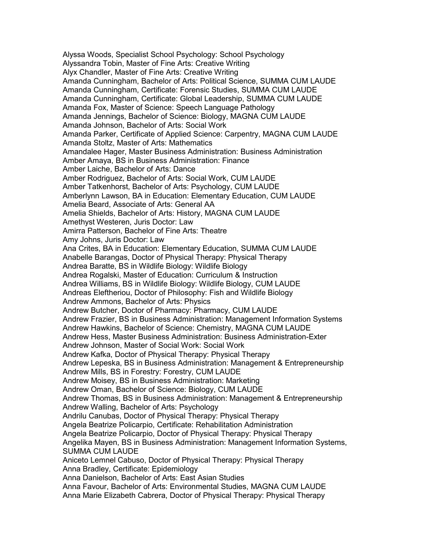Alyssa Woods, Specialist School Psychology: School Psychology Alyssandra Tobin, Master of Fine Arts: Creative Writing Alyx Chandler, Master of Fine Arts: Creative Writing Amanda Cunningham, Bachelor of Arts: Political Science, SUMMA CUM LAUDE Amanda Cunningham, Certificate: Forensic Studies, SUMMA CUM LAUDE Amanda Cunningham, Certificate: Global Leadership, SUMMA CUM LAUDE Amanda Fox, Master of Science: Speech Language Pathology Amanda Jennings, Bachelor of Science: Biology, MAGNA CUM LAUDE Amanda Johnson, Bachelor of Arts: Social Work Amanda Parker, Certificate of Applied Science: Carpentry, MAGNA CUM LAUDE Amanda Stoltz, Master of Arts: Mathematics Amandalee Hager, Master Business Administration: Business Administration Amber Amaya, BS in Business Administration: Finance Amber Laiche, Bachelor of Arts: Dance Amber Rodriguez, Bachelor of Arts: Social Work, CUM LAUDE Amber Tatkenhorst, Bachelor of Arts: Psychology, CUM LAUDE Amberlynn Lawson, BA in Education: Elementary Education, CUM LAUDE Amelia Beard, Associate of Arts: General AA Amelia Shields, Bachelor of Arts: History, MAGNA CUM LAUDE Amethyst Westeren, Juris Doctor: Law Amirra Patterson, Bachelor of Fine Arts: Theatre Amy Johns, Juris Doctor: Law Ana Crites, BA in Education: Elementary Education, SUMMA CUM LAUDE Anabelle Barangas, Doctor of Physical Therapy: Physical Therapy Andrea Baratte, BS in Wildlife Biology: Wildlife Biology Andrea Rogalski, Master of Education: Curriculum & Instruction Andrea Williams, BS in Wildlife Biology: Wildlife Biology, CUM LAUDE Andreas Eleftheriou, Doctor of Philosophy: Fish and Wildlife Biology Andrew Ammons, Bachelor of Arts: Physics Andrew Butcher, Doctor of Pharmacy: Pharmacy, CUM LAUDE Andrew Frazier, BS in Business Administration: Management Information Systems Andrew Hawkins, Bachelor of Science: Chemistry, MAGNA CUM LAUDE Andrew Hess, Master Business Administration: Business Administration-Exter Andrew Johnson, Master of Social Work: Social Work Andrew Kafka, Doctor of Physical Therapy: Physical Therapy Andrew Lepeska, BS in Business Administration: Management & Entrepreneurship Andrew Mills, BS in Forestry: Forestry, CUM LAUDE Andrew Moisey, BS in Business Administration: Marketing Andrew Oman, Bachelor of Science: Biology, CUM LAUDE Andrew Thomas, BS in Business Administration: Management & Entrepreneurship Andrew Walling, Bachelor of Arts: Psychology Andrilu Canubas, Doctor of Physical Therapy: Physical Therapy Angela Beatrize Policarpio, Certificate: Rehabilitation Administration Angela Beatrize Policarpio, Doctor of Physical Therapy: Physical Therapy Angelika Mayen, BS in Business Administration: Management Information Systems, SUMMA CUM LAUDE Aniceto Lemnel Cabuso, Doctor of Physical Therapy: Physical Therapy Anna Bradley, Certificate: Epidemiology Anna Danielson, Bachelor of Arts: East Asian Studies Anna Favour, Bachelor of Arts: Environmental Studies, MAGNA CUM LAUDE Anna Marie Elizabeth Cabrera, Doctor of Physical Therapy: Physical Therapy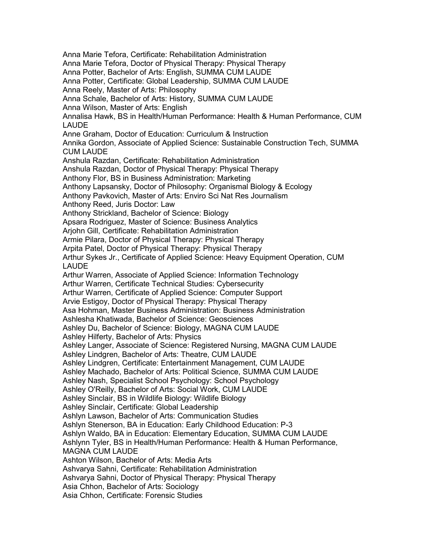Anna Marie Tefora, Certificate: Rehabilitation Administration Anna Marie Tefora, Doctor of Physical Therapy: Physical Therapy Anna Potter, Bachelor of Arts: English, SUMMA CUM LAUDE Anna Potter, Certificate: Global Leadership, SUMMA CUM LAUDE Anna Reely, Master of Arts: Philosophy Anna Schale, Bachelor of Arts: History, SUMMA CUM LAUDE Anna Wilson, Master of Arts: English Annalisa Hawk, BS in Health/Human Performance: Health & Human Performance, CUM LAUDE Anne Graham, Doctor of Education: Curriculum & Instruction Annika Gordon, Associate of Applied Science: Sustainable Construction Tech, SUMMA CUM LAUDE Anshula Razdan, Certificate: Rehabilitation Administration Anshula Razdan, Doctor of Physical Therapy: Physical Therapy Anthony Flor, BS in Business Administration: Marketing Anthony Lapsansky, Doctor of Philosophy: Organismal Biology & Ecology Anthony Pavkovich, Master of Arts: Enviro Sci Nat Res Journalism Anthony Reed, Juris Doctor: Law Anthony Strickland, Bachelor of Science: Biology Apsara Rodriguez, Master of Science: Business Analytics Ariohn Gill, Certificate: Rehabilitation Administration Armie Pilara, Doctor of Physical Therapy: Physical Therapy Arpita Patel, Doctor of Physical Therapy: Physical Therapy Arthur Sykes Jr., Certificate of Applied Science: Heavy Equipment Operation, CUM LAUDE Arthur Warren, Associate of Applied Science: Information Technology Arthur Warren, Certificate Technical Studies: Cybersecurity Arthur Warren, Certificate of Applied Science: Computer Support Arvie Estigoy, Doctor of Physical Therapy: Physical Therapy Asa Hohman, Master Business Administration: Business Administration Ashlesha Khatiwada, Bachelor of Science: Geosciences Ashley Du, Bachelor of Science: Biology, MAGNA CUM LAUDE Ashley Hilferty, Bachelor of Arts: Physics Ashley Langer, Associate of Science: Registered Nursing, MAGNA CUM LAUDE Ashley Lindgren, Bachelor of Arts: Theatre, CUM LAUDE Ashley Lindgren, Certificate: Entertainment Management, CUM LAUDE Ashley Machado, Bachelor of Arts: Political Science, SUMMA CUM LAUDE Ashley Nash, Specialist School Psychology: School Psychology Ashley O'Reilly, Bachelor of Arts: Social Work, CUM LAUDE Ashley Sinclair, BS in Wildlife Biology: Wildlife Biology Ashley Sinclair, Certificate: Global Leadership Ashlyn Lawson, Bachelor of Arts: Communication Studies Ashlyn Stenerson, BA in Education: Early Childhood Education: P-3 Ashlyn Waldo, BA in Education: Elementary Education, SUMMA CUM LAUDE Ashlynn Tyler, BS in Health/Human Performance: Health & Human Performance, MAGNA CUM LAUDE Ashton Wilson, Bachelor of Arts: Media Arts Ashvarya Sahni, Certificate: Rehabilitation Administration Ashvarya Sahni, Doctor of Physical Therapy: Physical Therapy Asia Chhon, Bachelor of Arts: Sociology Asia Chhon, Certificate: Forensic Studies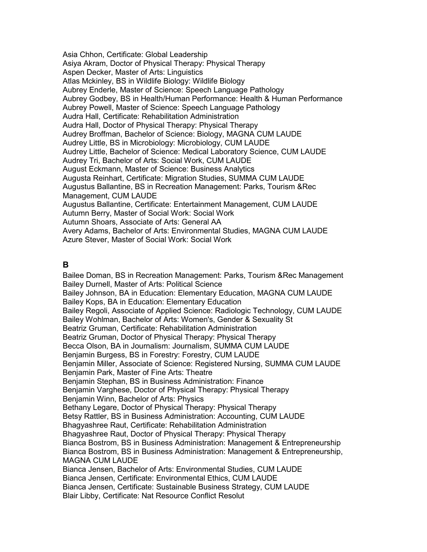Asia Chhon, Certificate: Global Leadership Asiya Akram, Doctor of Physical Therapy: Physical Therapy Aspen Decker, Master of Arts: Linguistics Atlas Mckinley, BS in Wildlife Biology: Wildlife Biology Aubrey Enderle, Master of Science: Speech Language Pathology Aubrey Godbey, BS in Health/Human Performance: Health & Human Performance Aubrey Powell, Master of Science: Speech Language Pathology Audra Hall, Certificate: Rehabilitation Administration Audra Hall, Doctor of Physical Therapy: Physical Therapy Audrey Broffman, Bachelor of Science: Biology, MAGNA CUM LAUDE Audrey Little, BS in Microbiology: Microbiology, CUM LAUDE Audrey Little, Bachelor of Science: Medical Laboratory Science, CUM LAUDE Audrey Tri, Bachelor of Arts: Social Work, CUM LAUDE August Eckmann, Master of Science: Business Analytics Augusta Reinhart, Certificate: Migration Studies, SUMMA CUM LAUDE Augustus Ballantine, BS in Recreation Management: Parks, Tourism &Rec Management, CUM LAUDE Augustus Ballantine, Certificate: Entertainment Management, CUM LAUDE Autumn Berry, Master of Social Work: Social Work Autumn Shoars, Associate of Arts: General AA Avery Adams, Bachelor of Arts: Environmental Studies, MAGNA CUM LAUDE Azure Stever, Master of Social Work: Social Work

#### **B**

Bailee Doman, BS in Recreation Management: Parks, Tourism &Rec Management Bailey Durnell, Master of Arts: Political Science Bailey Johnson, BA in Education: Elementary Education, MAGNA CUM LAUDE Bailey Kops, BA in Education: Elementary Education Bailey Regoli, Associate of Applied Science: Radiologic Technology, CUM LAUDE Bailey Wohlman, Bachelor of Arts: Women's, Gender & Sexuality St Beatriz Gruman, Certificate: Rehabilitation Administration Beatriz Gruman, Doctor of Physical Therapy: Physical Therapy Becca Olson, BA in Journalism: Journalism, SUMMA CUM LAUDE Benjamin Burgess, BS in Forestry: Forestry, CUM LAUDE Benjamin Miller, Associate of Science: Registered Nursing, SUMMA CUM LAUDE Benjamin Park, Master of Fine Arts: Theatre Benjamin Stephan, BS in Business Administration: Finance Benjamin Varghese, Doctor of Physical Therapy: Physical Therapy Benjamin Winn, Bachelor of Arts: Physics Bethany Legare, Doctor of Physical Therapy: Physical Therapy Betsy Rattler, BS in Business Administration: Accounting, CUM LAUDE Bhagyashree Raut, Certificate: Rehabilitation Administration Bhagyashree Raut, Doctor of Physical Therapy: Physical Therapy Bianca Bostrom, BS in Business Administration: Management & Entrepreneurship Bianca Bostrom, BS in Business Administration: Management & Entrepreneurship, MAGNA CUM LAUDE Bianca Jensen, Bachelor of Arts: Environmental Studies, CUM LAUDE Bianca Jensen, Certificate: Environmental Ethics, CUM LAUDE Bianca Jensen, Certificate: Sustainable Business Strategy, CUM LAUDE Blair Libby, Certificate: Nat Resource Conflict Resolut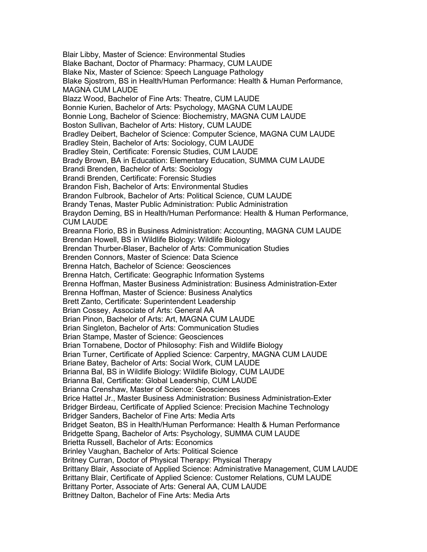Blair Libby, Master of Science: Environmental Studies Blake Bachant, Doctor of Pharmacy: Pharmacy, CUM LAUDE Blake Nix, Master of Science: Speech Language Pathology Blake Sjostrom, BS in Health/Human Performance: Health & Human Performance, MAGNA CUM LAUDE Blazz Wood, Bachelor of Fine Arts: Theatre, CUM LAUDE Bonnie Kurien, Bachelor of Arts: Psychology, MAGNA CUM LAUDE Bonnie Long, Bachelor of Science: Biochemistry, MAGNA CUM LAUDE Boston Sullivan, Bachelor of Arts: History, CUM LAUDE Bradley Deibert, Bachelor of Science: Computer Science, MAGNA CUM LAUDE Bradley Stein, Bachelor of Arts: Sociology, CUM LAUDE Bradley Stein, Certificate: Forensic Studies, CUM LAUDE Brady Brown, BA in Education: Elementary Education, SUMMA CUM LAUDE Brandi Brenden, Bachelor of Arts: Sociology Brandi Brenden, Certificate: Forensic Studies Brandon Fish, Bachelor of Arts: Environmental Studies Brandon Fulbrook, Bachelor of Arts: Political Science, CUM LAUDE Brandy Tenas, Master Public Administration: Public Administration Braydon Deming, BS in Health/Human Performance: Health & Human Performance, CUM LAUDE Breanna Florio, BS in Business Administration: Accounting, MAGNA CUM LAUDE Brendan Howell, BS in Wildlife Biology: Wildlife Biology Brendan Thurber-Blaser, Bachelor of Arts: Communication Studies Brenden Connors, Master of Science: Data Science Brenna Hatch, Bachelor of Science: Geosciences Brenna Hatch, Certificate: Geographic Information Systems Brenna Hoffman, Master Business Administration: Business Administration-Exter Brenna Hoffman, Master of Science: Business Analytics Brett Zanto, Certificate: Superintendent Leadership Brian Cossey, Associate of Arts: General AA Brian Pinon, Bachelor of Arts: Art, MAGNA CUM LAUDE Brian Singleton, Bachelor of Arts: Communication Studies Brian Stampe, Master of Science: Geosciences Brian Tornabene, Doctor of Philosophy: Fish and Wildlife Biology Brian Turner, Certificate of Applied Science: Carpentry, MAGNA CUM LAUDE Briane Batey, Bachelor of Arts: Social Work, CUM LAUDE Brianna Bal, BS in Wildlife Biology: Wildlife Biology, CUM LAUDE Brianna Bal, Certificate: Global Leadership, CUM LAUDE Brianna Crenshaw, Master of Science: Geosciences Brice Hattel Jr., Master Business Administration: Business Administration-Exter Bridger Birdeau, Certificate of Applied Science: Precision Machine Technology Bridger Sanders, Bachelor of Fine Arts: Media Arts Bridget Seaton, BS in Health/Human Performance: Health & Human Performance Bridgette Spang, Bachelor of Arts: Psychology, SUMMA CUM LAUDE Brietta Russell, Bachelor of Arts: Economics Brinley Vaughan, Bachelor of Arts: Political Science Britney Curran, Doctor of Physical Therapy: Physical Therapy Brittany Blair, Associate of Applied Science: Administrative Management, CUM LAUDE Brittany Blair, Certificate of Applied Science: Customer Relations, CUM LAUDE Brittany Porter, Associate of Arts: General AA, CUM LAUDE Brittney Dalton, Bachelor of Fine Arts: Media Arts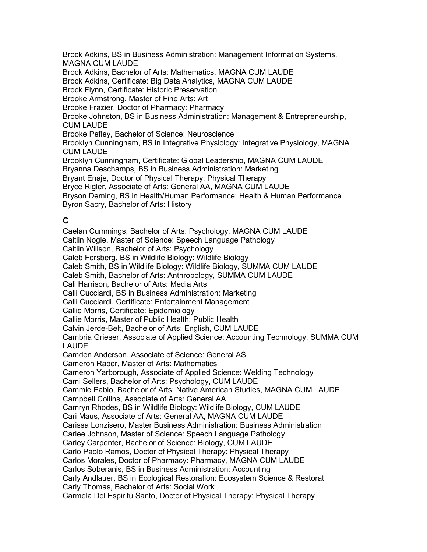Brock Adkins, BS in Business Administration: Management Information Systems, MAGNA CUM LAUDE Brock Adkins, Bachelor of Arts: Mathematics, MAGNA CUM LAUDE Brock Adkins, Certificate: Big Data Analytics, MAGNA CUM LAUDE Brock Flynn, Certificate: Historic Preservation Brooke Armstrong, Master of Fine Arts: Art Brooke Frazier, Doctor of Pharmacy: Pharmacy Brooke Johnston, BS in Business Administration: Management & Entrepreneurship, CUM LAUDE Brooke Pefley, Bachelor of Science: Neuroscience Brooklyn Cunningham, BS in Integrative Physiology: Integrative Physiology, MAGNA CUM LAUDE Brooklyn Cunningham, Certificate: Global Leadership, MAGNA CUM LAUDE Bryanna Deschamps, BS in Business Administration: Marketing Bryant Enaje, Doctor of Physical Therapy: Physical Therapy Bryce Rigler, Associate of Arts: General AA, MAGNA CUM LAUDE Bryson Deming, BS in Health/Human Performance: Health & Human Performance Byron Sacry, Bachelor of Arts: History

### **C**

Caelan Cummings, Bachelor of Arts: Psychology, MAGNA CUM LAUDE Caitlin Nogle, Master of Science: Speech Language Pathology Caitlin Willson, Bachelor of Arts: Psychology Caleb Forsberg, BS in Wildlife Biology: Wildlife Biology Caleb Smith, BS in Wildlife Biology: Wildlife Biology, SUMMA CUM LAUDE Caleb Smith, Bachelor of Arts: Anthropology, SUMMA CUM LAUDE Cali Harrison, Bachelor of Arts: Media Arts Calli Cucciardi, BS in Business Administration: Marketing Calli Cucciardi, Certificate: Entertainment Management Callie Morris, Certificate: Epidemiology Callie Morris, Master of Public Health: Public Health Calvin Jerde-Belt, Bachelor of Arts: English, CUM LAUDE Cambria Grieser, Associate of Applied Science: Accounting Technology, SUMMA CUM LAUDE Camden Anderson, Associate of Science: General AS Cameron Raber, Master of Arts: Mathematics Cameron Yarborough, Associate of Applied Science: Welding Technology Cami Sellers, Bachelor of Arts: Psychology, CUM LAUDE Cammie Pablo, Bachelor of Arts: Native American Studies, MAGNA CUM LAUDE Campbell Collins, Associate of Arts: General AA Camryn Rhodes, BS in Wildlife Biology: Wildlife Biology, CUM LAUDE Cari Maus, Associate of Arts: General AA, MAGNA CUM LAUDE Carissa Lonzisero, Master Business Administration: Business Administration Carlee Johnson, Master of Science: Speech Language Pathology Carley Carpenter, Bachelor of Science: Biology, CUM LAUDE Carlo Paolo Ramos, Doctor of Physical Therapy: Physical Therapy Carlos Morales, Doctor of Pharmacy: Pharmacy, MAGNA CUM LAUDE Carlos Soberanis, BS in Business Administration: Accounting Carly Andlauer, BS in Ecological Restoration: Ecosystem Science & Restorat Carly Thomas, Bachelor of Arts: Social Work Carmela Del Espiritu Santo, Doctor of Physical Therapy: Physical Therapy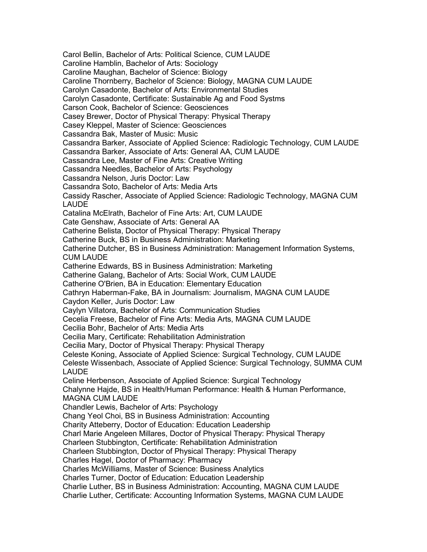Carol Bellin, Bachelor of Arts: Political Science, CUM LAUDE Caroline Hamblin, Bachelor of Arts: Sociology Caroline Maughan, Bachelor of Science: Biology Caroline Thornberry, Bachelor of Science: Biology, MAGNA CUM LAUDE Carolyn Casadonte, Bachelor of Arts: Environmental Studies Carolyn Casadonte, Certificate: Sustainable Ag and Food Systms Carson Cook, Bachelor of Science: Geosciences Casey Brewer, Doctor of Physical Therapy: Physical Therapy Casey Kleppel, Master of Science: Geosciences Cassandra Bak, Master of Music: Music Cassandra Barker, Associate of Applied Science: Radiologic Technology, CUM LAUDE Cassandra Barker, Associate of Arts: General AA, CUM LAUDE Cassandra Lee, Master of Fine Arts: Creative Writing Cassandra Needles, Bachelor of Arts: Psychology Cassandra Nelson, Juris Doctor: Law Cassandra Soto, Bachelor of Arts: Media Arts Cassidy Rascher, Associate of Applied Science: Radiologic Technology, MAGNA CUM LAUDE Catalina McElrath, Bachelor of Fine Arts: Art, CUM LAUDE Cate Genshaw, Associate of Arts: General AA Catherine Belista, Doctor of Physical Therapy: Physical Therapy Catherine Buck, BS in Business Administration: Marketing Catherine Dutcher, BS in Business Administration: Management Information Systems, CUM LAUDE Catherine Edwards, BS in Business Administration: Marketing Catherine Galang, Bachelor of Arts: Social Work, CUM LAUDE Catherine O'Brien, BA in Education: Elementary Education Cathryn Haberman-Fake, BA in Journalism: Journalism, MAGNA CUM LAUDE Caydon Keller, Juris Doctor: Law Caylyn Villatora, Bachelor of Arts: Communication Studies Cecelia Freese, Bachelor of Fine Arts: Media Arts, MAGNA CUM LAUDE Cecilia Bohr, Bachelor of Arts: Media Arts Cecilia Mary, Certificate: Rehabilitation Administration Cecilia Mary, Doctor of Physical Therapy: Physical Therapy Celeste Koning, Associate of Applied Science: Surgical Technology, CUM LAUDE Celeste Wissenbach, Associate of Applied Science: Surgical Technology, SUMMA CUM LAUDE Celine Herbenson, Associate of Applied Science: Surgical Technology Chalynne Hajde, BS in Health/Human Performance: Health & Human Performance, MAGNA CUM LAUDE Chandler Lewis, Bachelor of Arts: Psychology Chang Yeol Choi, BS in Business Administration: Accounting Charity Atteberry, Doctor of Education: Education Leadership Charl Marie Angeleen Millares, Doctor of Physical Therapy: Physical Therapy Charleen Stubbington, Certificate: Rehabilitation Administration Charleen Stubbington, Doctor of Physical Therapy: Physical Therapy Charles Hagel, Doctor of Pharmacy: Pharmacy Charles McWilliams, Master of Science: Business Analytics Charles Turner, Doctor of Education: Education Leadership Charlie Luther, BS in Business Administration: Accounting, MAGNA CUM LAUDE Charlie Luther, Certificate: Accounting Information Systems, MAGNA CUM LAUDE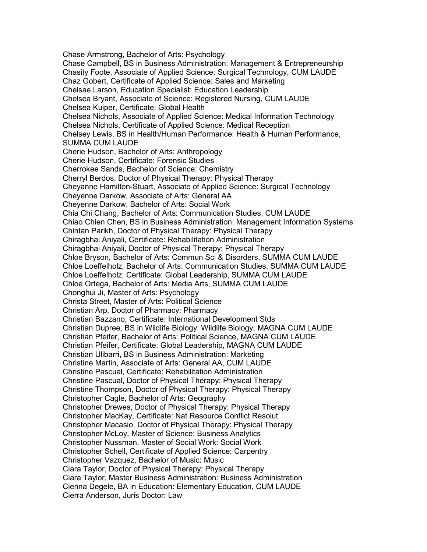Chase Armstrong, Bachelor of Arts: Psychology Chase Campbell, BS in Business Administration: Management & Entrepreneurship Chasity Foote, Associate of Applied Science: Surgical Technology, CUM LAUDE Chaz Gobert, Certificate of Applied Science: Sales and Marketing Chelsae Larson, Education Specialist: Education Leadership Chelsea Bryant, Associate of Science: Registered Nursing, CUM LAUDE Chelsea Kuiper, Certificate: Global Health Chelsea Nichols, Associate of Applied Science: Medical Information Technology Chelsea Nichols, Certificate of Applied Science: Medical Reception Chelsey Lewis, BS in Health/Human Performance: Health & Human Performance, SUMMA CUM LAUDE Cherie Hudson, Bachelor of Arts: Anthropology Cherie Hudson, Certificate: Forensic Studies Cherrokee Sands, Bachelor of Science: Chemistry Cherryl Berdos, Doctor of Physical Therapy: Physical Therapy Cheyanne Hamilton-Stuart, Associate of Applied Science: Surgical Technology Cheyenne Darkow, Associate of Arts: General AA Cheyenne Darkow, Bachelor of Arts: Social Work Chia Chi Chang, Bachelor of Arts: Communication Studies, CUM LAUDE Chiao Chien Chen, BS in Business Administration: Management Information Systems Chintan Parikh, Doctor of Physical Therapy: Physical Therapy Chiragbhai Aniyali, Certificate: Rehabilitation Administration Chiragbhai Aniyali, Doctor of Physical Therapy: Physical Therapy Chloe Bryson, Bachelor of Arts: Commun Sci & Disorders, SUMMA CUM LAUDE Chloe Loeffelholz, Bachelor of Arts: Communication Studies, SUMMA CUM LAUDE Chloe Loeffelholz, Certificate: Global Leadership, SUMMA CUM LAUDE Chloe Ortega, Bachelor of Arts: Media Arts, SUMMA CUM LAUDE Chonghui Ji, Master of Arts: Psychology Christa Street, Master of Arts: Political Science Christian Arp, Doctor of Pharmacy: Pharmacy Christian Bazzano, Certificate: International Development Stds Christian Dupree, BS in Wildlife Biology: Wildlife Biology, MAGNA CUM LAUDE Christian Pfeifer, Bachelor of Arts: Political Science, MAGNA CUM LAUDE Christian Pfeifer, Certificate: Global Leadership, MAGNA CUM LAUDE Christian Ulibarri, BS in Business Administration: Marketing Christine Martin, Associate of Arts: General AA, CUM LAUDE Christine Pascual, Certificate: Rehabilitation Administration Christine Pascual, Doctor of Physical Therapy: Physical Therapy Christine Thompson, Doctor of Physical Therapy: Physical Therapy Christopher Cagle, Bachelor of Arts: Geography Christopher Drewes, Doctor of Physical Therapy: Physical Therapy Christopher MacKay, Certificate: Nat Resource Conflict Resolut Christopher Macasio, Doctor of Physical Therapy: Physical Therapy Christopher McLoy, Master of Science: Business Analytics Christopher Nussman, Master of Social Work: Social Work Christopher Schell, Certificate of Applied Science: Carpentry Christopher Vazquez, Bachelor of Music: Music Ciara Taylor, Doctor of Physical Therapy: Physical Therapy Ciara Taylor, Master Business Administration: Business Administration Cienna Degele, BA in Education: Elementary Education, CUM LAUDE Cierra Anderson, Juris Doctor: Law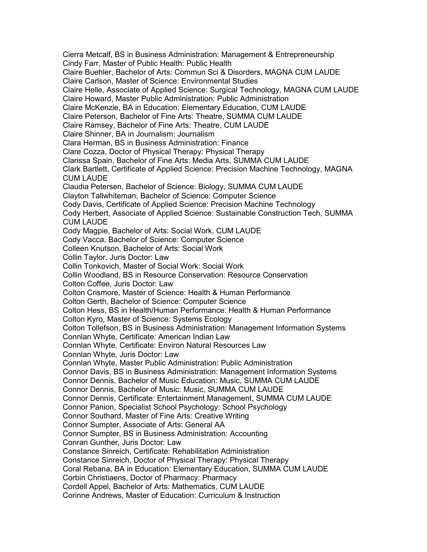Cierra Metcalf, BS in Business Administration: Management & Entrepreneurship Cindy Farr, Master of Public Health: Public Health Claire Buehler, Bachelor of Arts: Commun Sci & Disorders, MAGNA CUM LAUDE Claire Carlson, Master of Science: Environmental Studies Claire Helle, Associate of Applied Science: Surgical Technology, MAGNA CUM LAUDE Claire Howard, Master Public Administration: Public Administration Claire McKenzie, BA in Education: Elementary Education, CUM LAUDE Claire Peterson, Bachelor of Fine Arts: Theatre, SUMMA CUM LAUDE Claire Ramsey, Bachelor of Fine Arts: Theatre, CUM LAUDE Claire Shinner, BA in Journalism: Journalism Clara Herman, BS in Business Administration: Finance Clare Cozza, Doctor of Physical Therapy: Physical Therapy Clarissa Spain, Bachelor of Fine Arts: Media Arts, SUMMA CUM LAUDE Clark Bartlett, Certificate of Applied Science: Precision Machine Technology, MAGNA CUM LAUDE Claudia Petersen, Bachelor of Science: Biology, SUMMA CUM LAUDE Clayton Tallwhiteman, Bachelor of Science: Computer Science Cody Davis, Certificate of Applied Science: Precision Machine Technology Cody Herbert, Associate of Applied Science: Sustainable Construction Tech, SUMMA CUM LAUDE Cody Magpie, Bachelor of Arts: Social Work, CUM LAUDE Cody Vacca, Bachelor of Science: Computer Science Colleen Knutson, Bachelor of Arts: Social Work Collin Taylor, Juris Doctor: Law Collin Tonkovich, Master of Social Work: Social Work Collin Woodland, BS in Resource Conservation: Resource Conservation Colton Coffee, Juris Doctor: Law Colton Crismore, Master of Science: Health & Human Performance Colton Gerth, Bachelor of Science: Computer Science Colton Hess, BS in Health/Human Performance: Health & Human Performance Colton Kyro, Master of Science: Systems Ecology Colton Tollefson, BS in Business Administration: Management Information Systems Connlan Whyte, Certificate: American Indian Law Connlan Whyte, Certificate: Environ Natural Resources Law Connlan Whyte, Juris Doctor: Law Connlan Whyte, Master Public Administration: Public Administration Connor Davis, BS in Business Administration: Management Information Systems Connor Dennis, Bachelor of Music Education: Music, SUMMA CUM LAUDE Connor Dennis, Bachelor of Music: Music, SUMMA CUM LAUDE Connor Dennis, Certificate: Entertainment Management, SUMMA CUM LAUDE Connor Panion, Specialist School Psychology: School Psychology Connor Southard, Master of Fine Arts: Creative Writing Connor Sumpter, Associate of Arts: General AA Connor Sumpter, BS in Business Administration: Accounting Conran Gunther, Juris Doctor: Law Constance Sinreich, Certificate: Rehabilitation Administration Constance Sinreich, Doctor of Physical Therapy: Physical Therapy Coral Rebana, BA in Education: Elementary Education, SUMMA CUM LAUDE Corbin Christiaens, Doctor of Pharmacy: Pharmacy Cordell Appel, Bachelor of Arts: Mathematics, CUM LAUDE Corinne Andrews, Master of Education: Curriculum & Instruction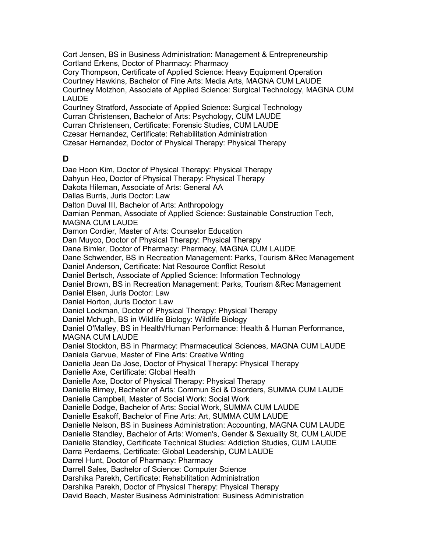Cort Jensen, BS in Business Administration: Management & Entrepreneurship Cortland Erkens, Doctor of Pharmacy: Pharmacy Cory Thompson, Certificate of Applied Science: Heavy Equipment Operation

Courtney Hawkins, Bachelor of Fine Arts: Media Arts, MAGNA CUM LAUDE Courtney Molzhon, Associate of Applied Science: Surgical Technology, MAGNA CUM LAUDE

Courtney Stratford, Associate of Applied Science: Surgical Technology Curran Christensen, Bachelor of Arts: Psychology, CUM LAUDE Curran Christensen, Certificate: Forensic Studies, CUM LAUDE Czesar Hernandez, Certificate: Rehabilitation Administration Czesar Hernandez, Doctor of Physical Therapy: Physical Therapy

## **D**

Dae Hoon Kim, Doctor of Physical Therapy: Physical Therapy Dahyun Heo, Doctor of Physical Therapy: Physical Therapy Dakota Hileman, Associate of Arts: General AA Dallas Burris, Juris Doctor: Law Dalton Duval III, Bachelor of Arts: Anthropology Damian Penman, Associate of Applied Science: Sustainable Construction Tech, MAGNA CUM LAUDE Damon Cordier, Master of Arts: Counselor Education Dan Muyco, Doctor of Physical Therapy: Physical Therapy Dana Bimler, Doctor of Pharmacy: Pharmacy, MAGNA CUM LAUDE Dane Schwender, BS in Recreation Management: Parks, Tourism &Rec Management Daniel Anderson, Certificate: Nat Resource Conflict Resolut Daniel Bertsch, Associate of Applied Science: Information Technology Daniel Brown, BS in Recreation Management: Parks, Tourism &Rec Management Daniel Elsen, Juris Doctor: Law Daniel Horton, Juris Doctor: Law Daniel Lockman, Doctor of Physical Therapy: Physical Therapy Daniel Mchugh, BS in Wildlife Biology: Wildlife Biology Daniel O'Malley, BS in Health/Human Performance: Health & Human Performance, MAGNA CUM LAUDE Daniel Stockton, BS in Pharmacy: Pharmaceutical Sciences, MAGNA CUM LAUDE Daniela Garvue, Master of Fine Arts: Creative Writing Daniella Jean Da Jose, Doctor of Physical Therapy: Physical Therapy Danielle Axe, Certificate: Global Health Danielle Axe, Doctor of Physical Therapy: Physical Therapy Danielle Birney, Bachelor of Arts: Commun Sci & Disorders, SUMMA CUM LAUDE Danielle Campbell, Master of Social Work: Social Work Danielle Dodge, Bachelor of Arts: Social Work, SUMMA CUM LAUDE Danielle Esakoff, Bachelor of Fine Arts: Art, SUMMA CUM LAUDE Danielle Nelson, BS in Business Administration: Accounting, MAGNA CUM LAUDE Danielle Standley, Bachelor of Arts: Women's, Gender & Sexuality St, CUM LAUDE Danielle Standley, Certificate Technical Studies: Addiction Studies, CUM LAUDE Darra Perdaems, Certificate: Global Leadership, CUM LAUDE Darrel Hunt, Doctor of Pharmacy: Pharmacy Darrell Sales, Bachelor of Science: Computer Science Darshika Parekh, Certificate: Rehabilitation Administration Darshika Parekh, Doctor of Physical Therapy: Physical Therapy David Beach, Master Business Administration: Business Administration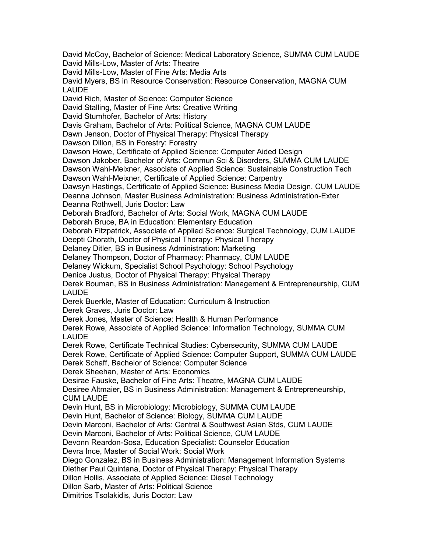David McCoy, Bachelor of Science: Medical Laboratory Science, SUMMA CUM LAUDE David Mills-Low, Master of Arts: Theatre David Mills-Low, Master of Fine Arts: Media Arts David Myers, BS in Resource Conservation: Resource Conservation, MAGNA CUM LAUDE David Rich, Master of Science: Computer Science David Stalling, Master of Fine Arts: Creative Writing David Stumhofer, Bachelor of Arts: History Davis Graham, Bachelor of Arts: Political Science, MAGNA CUM LAUDE Dawn Jenson, Doctor of Physical Therapy: Physical Therapy Dawson Dillon, BS in Forestry: Forestry Dawson Howe, Certificate of Applied Science: Computer Aided Design Dawson Jakober, Bachelor of Arts: Commun Sci & Disorders, SUMMA CUM LAUDE Dawson Wahl-Meixner, Associate of Applied Science: Sustainable Construction Tech Dawson Wahl-Meixner, Certificate of Applied Science: Carpentry Dawsyn Hastings, Certificate of Applied Science: Business Media Design, CUM LAUDE Deanna Johnson, Master Business Administration: Business Administration-Exter Deanna Rothwell, Juris Doctor: Law Deborah Bradford, Bachelor of Arts: Social Work, MAGNA CUM LAUDE Deborah Bruce, BA in Education: Elementary Education Deborah Fitzpatrick, Associate of Applied Science: Surgical Technology, CUM LAUDE Deepti Chorath, Doctor of Physical Therapy: Physical Therapy Delaney Ditler, BS in Business Administration: Marketing Delaney Thompson, Doctor of Pharmacy: Pharmacy, CUM LAUDE Delaney Wickum, Specialist School Psychology: School Psychology Denice Justus, Doctor of Physical Therapy: Physical Therapy Derek Bouman, BS in Business Administration: Management & Entrepreneurship, CUM LAUDE Derek Buerkle, Master of Education: Curriculum & Instruction Derek Graves, Juris Doctor: Law Derek Jones, Master of Science: Health & Human Performance Derek Rowe, Associate of Applied Science: Information Technology, SUMMA CUM LAUDE Derek Rowe, Certificate Technical Studies: Cybersecurity, SUMMA CUM LAUDE Derek Rowe, Certificate of Applied Science: Computer Support, SUMMA CUM LAUDE Derek Schaff, Bachelor of Science: Computer Science Derek Sheehan, Master of Arts: Economics Desirae Fauske, Bachelor of Fine Arts: Theatre, MAGNA CUM LAUDE Desiree Altmaier, BS in Business Administration: Management & Entrepreneurship, CUM LAUDE Devin Hunt, BS in Microbiology: Microbiology, SUMMA CUM LAUDE Devin Hunt, Bachelor of Science: Biology, SUMMA CUM LAUDE Devin Marconi, Bachelor of Arts: Central & Southwest Asian Stds, CUM LAUDE Devin Marconi, Bachelor of Arts: Political Science, CUM LAUDE Devonn Reardon-Sosa, Education Specialist: Counselor Education Devra Ince, Master of Social Work: Social Work Diego Gonzalez, BS in Business Administration: Management Information Systems Diether Paul Quintana, Doctor of Physical Therapy: Physical Therapy Dillon Hollis, Associate of Applied Science: Diesel Technology Dillon Sarb, Master of Arts: Political Science Dimitrios Tsolakidis, Juris Doctor: Law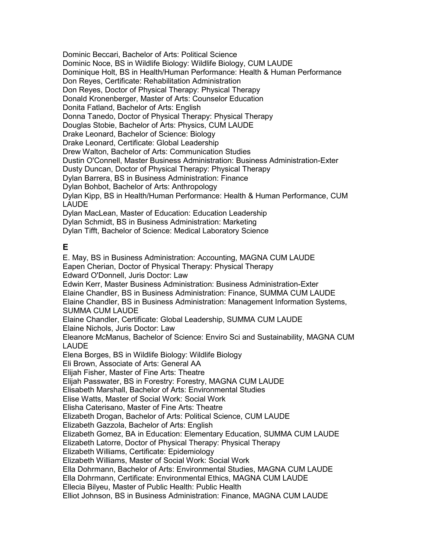Dominic Beccari, Bachelor of Arts: Political Science Dominic Noce, BS in Wildlife Biology: Wildlife Biology, CUM LAUDE Dominique Holt, BS in Health/Human Performance: Health & Human Performance Don Reyes, Certificate: Rehabilitation Administration Don Reyes, Doctor of Physical Therapy: Physical Therapy Donald Kronenberger, Master of Arts: Counselor Education Donita Fatland, Bachelor of Arts: English Donna Tanedo, Doctor of Physical Therapy: Physical Therapy Douglas Stobie, Bachelor of Arts: Physics, CUM LAUDE Drake Leonard, Bachelor of Science: Biology Drake Leonard, Certificate: Global Leadership Drew Walton, Bachelor of Arts: Communication Studies Dustin O'Connell, Master Business Administration: Business Administration-Exter Dusty Duncan, Doctor of Physical Therapy: Physical Therapy Dylan Barrera, BS in Business Administration: Finance Dylan Bohbot, Bachelor of Arts: Anthropology Dylan Kipp, BS in Health/Human Performance: Health & Human Performance, CUM LAUDE Dylan MacLean, Master of Education: Education Leadership Dylan Schmidt, BS in Business Administration: Marketing

Dylan Tifft, Bachelor of Science: Medical Laboratory Science

# **E**

E. May, BS in Business Administration: Accounting, MAGNA CUM LAUDE Eapen Cherian, Doctor of Physical Therapy: Physical Therapy Edward O'Donnell, Juris Doctor: Law Edwin Kerr, Master Business Administration: Business Administration-Exter Elaine Chandler, BS in Business Administration: Finance, SUMMA CUM LAUDE Elaine Chandler, BS in Business Administration: Management Information Systems, SUMMA CUM LAUDE Elaine Chandler, Certificate: Global Leadership, SUMMA CUM LAUDE Elaine Nichols, Juris Doctor: Law Eleanore McManus, Bachelor of Science: Enviro Sci and Sustainability, MAGNA CUM LAUDE Elena Borges, BS in Wildlife Biology: Wildlife Biology Eli Brown, Associate of Arts: General AA Elijah Fisher, Master of Fine Arts: Theatre Elijah Passwater, BS in Forestry: Forestry, MAGNA CUM LAUDE Elisabeth Marshall, Bachelor of Arts: Environmental Studies Elise Watts, Master of Social Work: Social Work Elisha Caterisano, Master of Fine Arts: Theatre Elizabeth Drogan, Bachelor of Arts: Political Science, CUM LAUDE Elizabeth Gazzola, Bachelor of Arts: English Elizabeth Gomez, BA in Education: Elementary Education, SUMMA CUM LAUDE Elizabeth Latorre, Doctor of Physical Therapy: Physical Therapy Elizabeth Williams, Certificate: Epidemiology Elizabeth Williams, Master of Social Work: Social Work Ella Dohrmann, Bachelor of Arts: Environmental Studies, MAGNA CUM LAUDE Ella Dohrmann, Certificate: Environmental Ethics, MAGNA CUM LAUDE Ellecia Bilyeu, Master of Public Health: Public Health Elliot Johnson, BS in Business Administration: Finance, MAGNA CUM LAUDE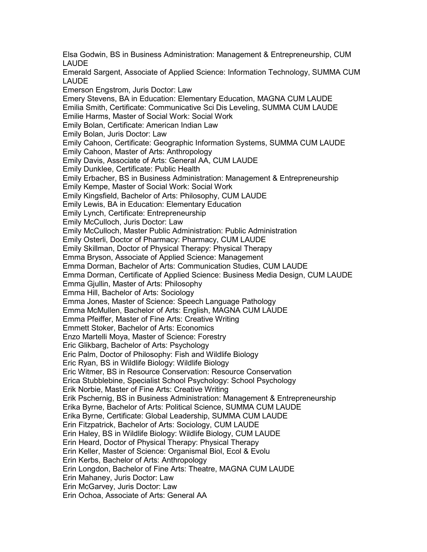Elsa Godwin, BS in Business Administration: Management & Entrepreneurship, CUM LAUDE Emerald Sargent, Associate of Applied Science: Information Technology, SUMMA CUM LAUDE Emerson Engstrom, Juris Doctor: Law Emery Stevens, BA in Education: Elementary Education, MAGNA CUM LAUDE Emilia Smith, Certificate: Communicative Sci Dis Leveling, SUMMA CUM LAUDE Emilie Harms, Master of Social Work: Social Work Emily Bolan, Certificate: American Indian Law Emily Bolan, Juris Doctor: Law Emily Cahoon, Certificate: Geographic Information Systems, SUMMA CUM LAUDE Emily Cahoon, Master of Arts: Anthropology Emily Davis, Associate of Arts: General AA, CUM LAUDE Emily Dunklee, Certificate: Public Health Emily Erbacher, BS in Business Administration: Management & Entrepreneurship Emily Kempe, Master of Social Work: Social Work Emily Kingsfield, Bachelor of Arts: Philosophy, CUM LAUDE Emily Lewis, BA in Education: Elementary Education Emily Lynch, Certificate: Entrepreneurship Emily McCulloch, Juris Doctor: Law Emily McCulloch, Master Public Administration: Public Administration Emily Osterli, Doctor of Pharmacy: Pharmacy, CUM LAUDE Emily Skillman, Doctor of Physical Therapy: Physical Therapy Emma Bryson, Associate of Applied Science: Management Emma Dorman, Bachelor of Arts: Communication Studies, CUM LAUDE Emma Dorman, Certificate of Applied Science: Business Media Design, CUM LAUDE Emma Gjullin, Master of Arts: Philosophy Emma Hill, Bachelor of Arts: Sociology Emma Jones, Master of Science: Speech Language Pathology Emma McMullen, Bachelor of Arts: English, MAGNA CUM LAUDE Emma Pfeiffer, Master of Fine Arts: Creative Writing Emmett Stoker, Bachelor of Arts: Economics Enzo Martelli Moya, Master of Science: Forestry Eric Glikbarg, Bachelor of Arts: Psychology Eric Palm, Doctor of Philosophy: Fish and Wildlife Biology Eric Ryan, BS in Wildlife Biology: Wildlife Biology Eric Witmer, BS in Resource Conservation: Resource Conservation Erica Stubblebine, Specialist School Psychology: School Psychology Erik Norbie, Master of Fine Arts: Creative Writing Erik Pschernig, BS in Business Administration: Management & Entrepreneurship Erika Byrne, Bachelor of Arts: Political Science, SUMMA CUM LAUDE Erika Byrne, Certificate: Global Leadership, SUMMA CUM LAUDE Erin Fitzpatrick, Bachelor of Arts: Sociology, CUM LAUDE Erin Haley, BS in Wildlife Biology: Wildlife Biology, CUM LAUDE Erin Heard, Doctor of Physical Therapy: Physical Therapy Erin Keller, Master of Science: Organismal Biol, Ecol & Evolu Erin Kerbs, Bachelor of Arts: Anthropology Erin Longdon, Bachelor of Fine Arts: Theatre, MAGNA CUM LAUDE Erin Mahaney, Juris Doctor: Law Erin McGarvey, Juris Doctor: Law Erin Ochoa, Associate of Arts: General AA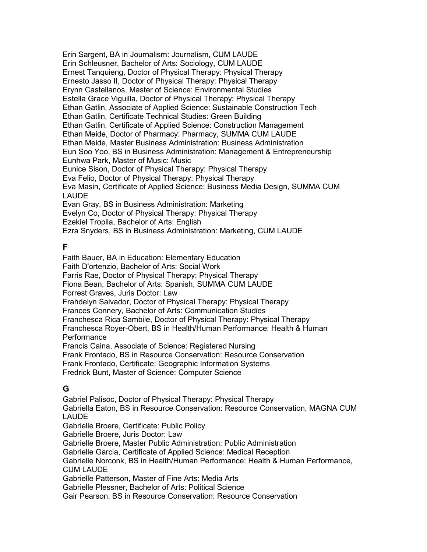Erin Sargent, BA in Journalism: Journalism, CUM LAUDE Erin Schleusner, Bachelor of Arts: Sociology, CUM LAUDE Ernest Tanquieng, Doctor of Physical Therapy: Physical Therapy Ernesto Jasso II, Doctor of Physical Therapy: Physical Therapy Erynn Castellanos, Master of Science: Environmental Studies Estella Grace Viguilla, Doctor of Physical Therapy: Physical Therapy Ethan Gatlin, Associate of Applied Science: Sustainable Construction Tech Ethan Gatlin, Certificate Technical Studies: Green Building Ethan Gatlin, Certificate of Applied Science: Construction Management Ethan Meide, Doctor of Pharmacy: Pharmacy, SUMMA CUM LAUDE Ethan Meide, Master Business Administration: Business Administration Eun Soo Yoo, BS in Business Administration: Management & Entrepreneurship Eunhwa Park, Master of Music: Music Eunice Sison, Doctor of Physical Therapy: Physical Therapy Eva Felio, Doctor of Physical Therapy: Physical Therapy Eva Masin, Certificate of Applied Science: Business Media Design, SUMMA CUM LAUDE Evan Gray, BS in Business Administration: Marketing Evelyn Co, Doctor of Physical Therapy: Physical Therapy Ezekiel Tropila, Bachelor of Arts: English Ezra Snyders, BS in Business Administration: Marketing, CUM LAUDE

### **F**

Faith Bauer, BA in Education: Elementary Education Faith D'ortenzio, Bachelor of Arts: Social Work Farris Rae, Doctor of Physical Therapy: Physical Therapy Fiona Bean, Bachelor of Arts: Spanish, SUMMA CUM LAUDE Forrest Graves, Juris Doctor: Law Frahdelyn Salvador, Doctor of Physical Therapy: Physical Therapy Frances Connery, Bachelor of Arts: Communication Studies Franchesca Rica Sambile, Doctor of Physical Therapy: Physical Therapy Franchesca Royer-Obert, BS in Health/Human Performance: Health & Human **Performance** Francis Caina, Associate of Science: Registered Nursing Frank Frontado, BS in Resource Conservation: Resource Conservation Frank Frontado, Certificate: Geographic Information Systems Fredrick Bunt, Master of Science: Computer Science

### **G**

Gabriel Palisoc, Doctor of Physical Therapy: Physical Therapy Gabriella Eaton, BS in Resource Conservation: Resource Conservation, MAGNA CUM LAUDE Gabrielle Broere, Certificate: Public Policy Gabrielle Broere, Juris Doctor: Law Gabrielle Broere, Master Public Administration: Public Administration Gabrielle Garcia, Certificate of Applied Science: Medical Reception Gabrielle Norconk, BS in Health/Human Performance: Health & Human Performance, CUM LAUDE Gabrielle Patterson, Master of Fine Arts: Media Arts Gabrielle Plessner, Bachelor of Arts: Political Science Gair Pearson, BS in Resource Conservation: Resource Conservation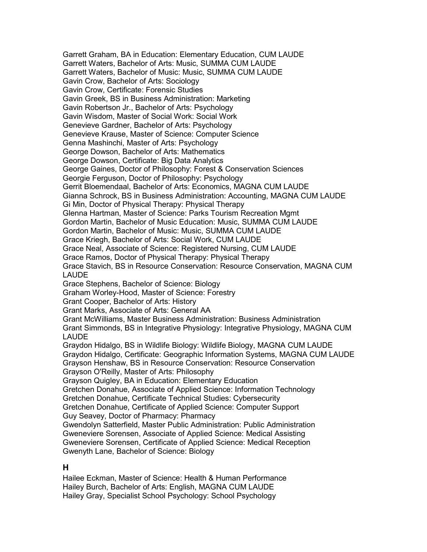Garrett Graham, BA in Education: Elementary Education, CUM LAUDE Garrett Waters, Bachelor of Arts: Music, SUMMA CUM LAUDE Garrett Waters, Bachelor of Music: Music, SUMMA CUM LAUDE Gavin Crow, Bachelor of Arts: Sociology Gavin Crow, Certificate: Forensic Studies Gavin Greek, BS in Business Administration: Marketing Gavin Robertson Jr., Bachelor of Arts: Psychology Gavin Wisdom, Master of Social Work: Social Work Genevieve Gardner, Bachelor of Arts: Psychology Genevieve Krause, Master of Science: Computer Science Genna Mashinchi, Master of Arts: Psychology George Dowson, Bachelor of Arts: Mathematics George Dowson, Certificate: Big Data Analytics George Gaines, Doctor of Philosophy: Forest & Conservation Sciences Georgie Ferguson, Doctor of Philosophy: Psychology Gerrit Bloemendaal, Bachelor of Arts: Economics, MAGNA CUM LAUDE Gianna Schrock, BS in Business Administration: Accounting, MAGNA CUM LAUDE Gi Min, Doctor of Physical Therapy: Physical Therapy Glenna Hartman, Master of Science: Parks Tourism Recreation Mgmt Gordon Martin, Bachelor of Music Education: Music, SUMMA CUM LAUDE Gordon Martin, Bachelor of Music: Music, SUMMA CUM LAUDE Grace Kriegh, Bachelor of Arts: Social Work, CUM LAUDE Grace Neal, Associate of Science: Registered Nursing, CUM LAUDE Grace Ramos, Doctor of Physical Therapy: Physical Therapy Grace Stavich, BS in Resource Conservation: Resource Conservation, MAGNA CUM LAUDE Grace Stephens, Bachelor of Science: Biology Graham Worley-Hood, Master of Science: Forestry Grant Cooper, Bachelor of Arts: History Grant Marks, Associate of Arts: General AA Grant McWilliams, Master Business Administration: Business Administration Grant Simmonds, BS in Integrative Physiology: Integrative Physiology, MAGNA CUM LAUDE Graydon Hidalgo, BS in Wildlife Biology: Wildlife Biology, MAGNA CUM LAUDE Graydon Hidalgo, Certificate: Geographic Information Systems, MAGNA CUM LAUDE Grayson Henshaw, BS in Resource Conservation: Resource Conservation Grayson O'Reilly, Master of Arts: Philosophy Grayson Quigley, BA in Education: Elementary Education Gretchen Donahue, Associate of Applied Science: Information Technology Gretchen Donahue, Certificate Technical Studies: Cybersecurity Gretchen Donahue, Certificate of Applied Science: Computer Support Guy Seavey, Doctor of Pharmacy: Pharmacy Gwendolyn Satterfield, Master Public Administration: Public Administration Gweneviere Sorensen, Associate of Applied Science: Medical Assisting Gweneviere Sorensen, Certificate of Applied Science: Medical Reception Gwenyth Lane, Bachelor of Science: Biology

#### **H**

Hailee Eckman, Master of Science: Health & Human Performance Hailey Burch, Bachelor of Arts: English, MAGNA CUM LAUDE Hailey Gray, Specialist School Psychology: School Psychology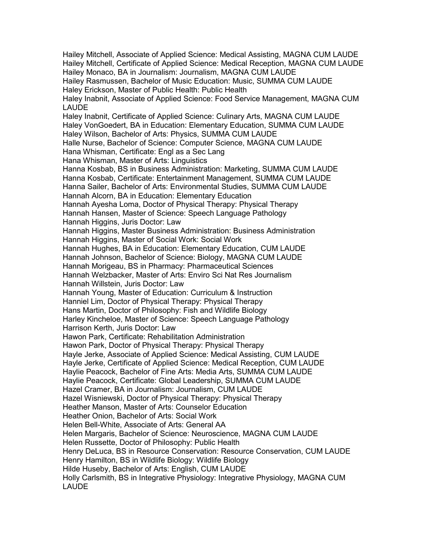Hailey Mitchell, Associate of Applied Science: Medical Assisting, MAGNA CUM LAUDE Hailey Mitchell, Certificate of Applied Science: Medical Reception, MAGNA CUM LAUDE Hailey Monaco, BA in Journalism: Journalism, MAGNA CUM LAUDE Hailey Rasmussen, Bachelor of Music Education: Music, SUMMA CUM LAUDE Haley Erickson, Master of Public Health: Public Health Haley Inabnit, Associate of Applied Science: Food Service Management, MAGNA CUM LAUDE Haley Inabnit, Certificate of Applied Science: Culinary Arts, MAGNA CUM LAUDE Haley VonGoedert, BA in Education: Elementary Education, SUMMA CUM LAUDE Haley Wilson, Bachelor of Arts: Physics, SUMMA CUM LAUDE Halle Nurse, Bachelor of Science: Computer Science, MAGNA CUM LAUDE Hana Whisman, Certificate: Engl as a Sec Lang Hana Whisman, Master of Arts: Linguistics Hanna Kosbab, BS in Business Administration: Marketing, SUMMA CUM LAUDE Hanna Kosbab, Certificate: Entertainment Management, SUMMA CUM LAUDE Hanna Sailer, Bachelor of Arts: Environmental Studies, SUMMA CUM LAUDE Hannah Alcorn, BA in Education: Elementary Education Hannah Ayesha Loma, Doctor of Physical Therapy: Physical Therapy Hannah Hansen, Master of Science: Speech Language Pathology Hannah Higgins, Juris Doctor: Law Hannah Higgins, Master Business Administration: Business Administration Hannah Higgins, Master of Social Work: Social Work Hannah Hughes, BA in Education: Elementary Education, CUM LAUDE Hannah Johnson, Bachelor of Science: Biology, MAGNA CUM LAUDE Hannah Morigeau, BS in Pharmacy: Pharmaceutical Sciences Hannah Welzbacker, Master of Arts: Enviro Sci Nat Res Journalism Hannah Willstein, Juris Doctor: Law Hannah Young, Master of Education: Curriculum & Instruction Hanniel Lim, Doctor of Physical Therapy: Physical Therapy Hans Martin, Doctor of Philosophy: Fish and Wildlife Biology Harley Kincheloe, Master of Science: Speech Language Pathology Harrison Kerth, Juris Doctor: Law Hawon Park, Certificate: Rehabilitation Administration Hawon Park, Doctor of Physical Therapy: Physical Therapy Hayle Jerke, Associate of Applied Science: Medical Assisting, CUM LAUDE Hayle Jerke, Certificate of Applied Science: Medical Reception, CUM LAUDE Haylie Peacock, Bachelor of Fine Arts: Media Arts, SUMMA CUM LAUDE Haylie Peacock, Certificate: Global Leadership, SUMMA CUM LAUDE Hazel Cramer, BA in Journalism: Journalism, CUM LAUDE Hazel Wisniewski, Doctor of Physical Therapy: Physical Therapy Heather Manson, Master of Arts: Counselor Education Heather Onion, Bachelor of Arts: Social Work Helen Bell-White, Associate of Arts: General AA Helen Margaris, Bachelor of Science: Neuroscience, MAGNA CUM LAUDE Helen Russette, Doctor of Philosophy: Public Health Henry DeLuca, BS in Resource Conservation: Resource Conservation, CUM LAUDE Henry Hamilton, BS in Wildlife Biology: Wildlife Biology Hilde Huseby, Bachelor of Arts: English, CUM LAUDE Holly Carlsmith, BS in Integrative Physiology: Integrative Physiology, MAGNA CUM LAUDE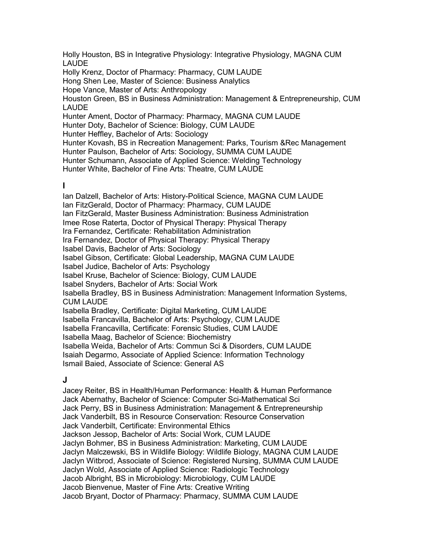Holly Houston, BS in Integrative Physiology: Integrative Physiology, MAGNA CUM LAUDE Holly Krenz, Doctor of Pharmacy: Pharmacy, CUM LAUDE Hong Shen Lee, Master of Science: Business Analytics Hope Vance, Master of Arts: Anthropology Houston Green, BS in Business Administration: Management & Entrepreneurship, CUM LAUDE Hunter Ament, Doctor of Pharmacy: Pharmacy, MAGNA CUM LAUDE Hunter Doty, Bachelor of Science: Biology, CUM LAUDE Hunter Heffley, Bachelor of Arts: Sociology Hunter Kovash, BS in Recreation Management: Parks, Tourism &Rec Management Hunter Paulson, Bachelor of Arts: Sociology, SUMMA CUM LAUDE Hunter Schumann, Associate of Applied Science: Welding Technology Hunter White, Bachelor of Fine Arts: Theatre, CUM LAUDE

#### **I**

Ian Dalzell, Bachelor of Arts: History-Political Science, MAGNA CUM LAUDE Ian FitzGerald, Doctor of Pharmacy: Pharmacy, CUM LAUDE Ian FitzGerald, Master Business Administration: Business Administration Imee Rose Raterta, Doctor of Physical Therapy: Physical Therapy Ira Fernandez, Certificate: Rehabilitation Administration Ira Fernandez, Doctor of Physical Therapy: Physical Therapy Isabel Davis, Bachelor of Arts: Sociology Isabel Gibson, Certificate: Global Leadership, MAGNA CUM LAUDE Isabel Judice, Bachelor of Arts: Psychology Isabel Kruse, Bachelor of Science: Biology, CUM LAUDE Isabel Snyders, Bachelor of Arts: Social Work Isabella Bradley, BS in Business Administration: Management Information Systems, CUM LAUDE Isabella Bradley, Certificate: Digital Marketing, CUM LAUDE Isabella Francavilla, Bachelor of Arts: Psychology, CUM LAUDE Isabella Francavilla, Certificate: Forensic Studies, CUM LAUDE Isabella Maag, Bachelor of Science: Biochemistry Isabella Weida, Bachelor of Arts: Commun Sci & Disorders, CUM LAUDE Isaiah Degarmo, Associate of Applied Science: Information Technology Ismail Baied, Associate of Science: General AS

### **J**

Jacey Reiter, BS in Health/Human Performance: Health & Human Performance Jack Abernathy, Bachelor of Science: Computer Sci-Mathematical Sci Jack Perry, BS in Business Administration: Management & Entrepreneurship Jack Vanderbilt, BS in Resource Conservation: Resource Conservation Jack Vanderbilt, Certificate: Environmental Ethics Jackson Jessop, Bachelor of Arts: Social Work, CUM LAUDE Jaclyn Bohmer, BS in Business Administration: Marketing, CUM LAUDE Jaclyn Malczewski, BS in Wildlife Biology: Wildlife Biology, MAGNA CUM LAUDE Jaclyn Witbrod, Associate of Science: Registered Nursing, SUMMA CUM LAUDE Jaclyn Wold, Associate of Applied Science: Radiologic Technology Jacob Albright, BS in Microbiology: Microbiology, CUM LAUDE Jacob Bienvenue, Master of Fine Arts: Creative Writing Jacob Bryant, Doctor of Pharmacy: Pharmacy, SUMMA CUM LAUDE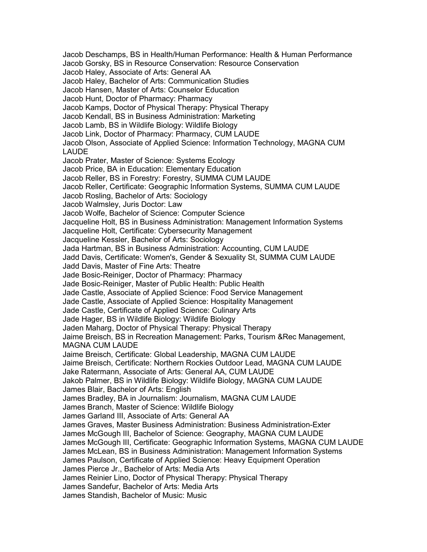Jacob Deschamps, BS in Health/Human Performance: Health & Human Performance Jacob Gorsky, BS in Resource Conservation: Resource Conservation Jacob Haley, Associate of Arts: General AA Jacob Haley, Bachelor of Arts: Communication Studies Jacob Hansen, Master of Arts: Counselor Education Jacob Hunt, Doctor of Pharmacy: Pharmacy Jacob Kamps, Doctor of Physical Therapy: Physical Therapy Jacob Kendall, BS in Business Administration: Marketing Jacob Lamb, BS in Wildlife Biology: Wildlife Biology Jacob Link, Doctor of Pharmacy: Pharmacy, CUM LAUDE Jacob Olson, Associate of Applied Science: Information Technology, MAGNA CUM LAUDE Jacob Prater, Master of Science: Systems Ecology Jacob Price, BA in Education: Elementary Education Jacob Reller, BS in Forestry: Forestry, SUMMA CUM LAUDE Jacob Reller, Certificate: Geographic Information Systems, SUMMA CUM LAUDE Jacob Rosling, Bachelor of Arts: Sociology Jacob Walmsley, Juris Doctor: Law Jacob Wolfe, Bachelor of Science: Computer Science Jacqueline Holt, BS in Business Administration: Management Information Systems Jacqueline Holt, Certificate: Cybersecurity Management Jacqueline Kessler, Bachelor of Arts: Sociology Jada Hartman, BS in Business Administration: Accounting, CUM LAUDE Jadd Davis, Certificate: Women's, Gender & Sexuality St, SUMMA CUM LAUDE Jadd Davis, Master of Fine Arts: Theatre Jade Bosic-Reiniger, Doctor of Pharmacy: Pharmacy Jade Bosic-Reiniger, Master of Public Health: Public Health Jade Castle, Associate of Applied Science: Food Service Management Jade Castle, Associate of Applied Science: Hospitality Management Jade Castle, Certificate of Applied Science: Culinary Arts Jade Hager, BS in Wildlife Biology: Wildlife Biology Jaden Maharg, Doctor of Physical Therapy: Physical Therapy Jaime Breisch, BS in Recreation Management: Parks, Tourism &Rec Management, MAGNA CUM LAUDE Jaime Breisch, Certificate: Global Leadership, MAGNA CUM LAUDE Jaime Breisch, Certificate: Northern Rockies Outdoor Lead, MAGNA CUM LAUDE Jake Ratermann, Associate of Arts: General AA, CUM LAUDE Jakob Palmer, BS in Wildlife Biology: Wildlife Biology, MAGNA CUM LAUDE James Blair, Bachelor of Arts: English James Bradley, BA in Journalism: Journalism, MAGNA CUM LAUDE James Branch, Master of Science: Wildlife Biology James Garland III, Associate of Arts: General AA James Graves, Master Business Administration: Business Administration-Exter James McGough III, Bachelor of Science: Geography, MAGNA CUM LAUDE James McGough III, Certificate: Geographic Information Systems, MAGNA CUM LAUDE James McLean, BS in Business Administration: Management Information Systems James Paulson, Certificate of Applied Science: Heavy Equipment Operation James Pierce Jr., Bachelor of Arts: Media Arts James Reinier Lino, Doctor of Physical Therapy: Physical Therapy James Sandefur, Bachelor of Arts: Media Arts James Standish, Bachelor of Music: Music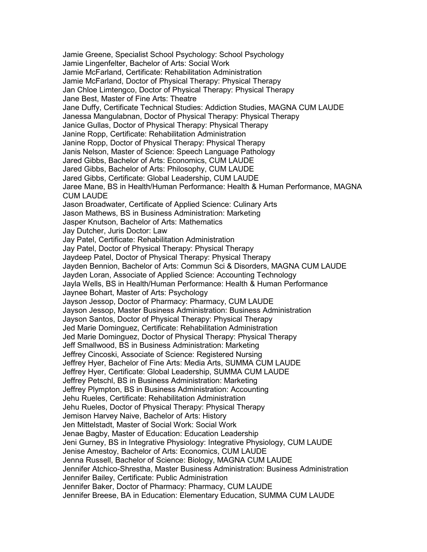Jamie Greene, Specialist School Psychology: School Psychology Jamie Lingenfelter, Bachelor of Arts: Social Work Jamie McFarland, Certificate: Rehabilitation Administration Jamie McFarland, Doctor of Physical Therapy: Physical Therapy Jan Chloe Limtengco, Doctor of Physical Therapy: Physical Therapy Jane Best, Master of Fine Arts: Theatre Jane Duffy, Certificate Technical Studies: Addiction Studies, MAGNA CUM LAUDE Janessa Mangulabnan, Doctor of Physical Therapy: Physical Therapy Janice Gullas, Doctor of Physical Therapy: Physical Therapy Janine Ropp, Certificate: Rehabilitation Administration Janine Ropp, Doctor of Physical Therapy: Physical Therapy Janis Nelson, Master of Science: Speech Language Pathology Jared Gibbs, Bachelor of Arts: Economics, CUM LAUDE Jared Gibbs, Bachelor of Arts: Philosophy, CUM LAUDE Jared Gibbs, Certificate: Global Leadership, CUM LAUDE Jaree Mane, BS in Health/Human Performance: Health & Human Performance, MAGNA CUM LAUDE Jason Broadwater, Certificate of Applied Science: Culinary Arts Jason Mathews, BS in Business Administration: Marketing Jasper Knutson, Bachelor of Arts: Mathematics Jay Dutcher, Juris Doctor: Law Jay Patel, Certificate: Rehabilitation Administration Jay Patel, Doctor of Physical Therapy: Physical Therapy Jaydeep Patel, Doctor of Physical Therapy: Physical Therapy Jayden Bennion, Bachelor of Arts: Commun Sci & Disorders, MAGNA CUM LAUDE Jayden Loran, Associate of Applied Science: Accounting Technology Jayla Wells, BS in Health/Human Performance: Health & Human Performance Jaynee Bohart, Master of Arts: Psychology Jayson Jessop, Doctor of Pharmacy: Pharmacy, CUM LAUDE Jayson Jessop, Master Business Administration: Business Administration Jayson Santos, Doctor of Physical Therapy: Physical Therapy Jed Marie Dominguez, Certificate: Rehabilitation Administration Jed Marie Dominguez, Doctor of Physical Therapy: Physical Therapy Jeff Smallwood, BS in Business Administration: Marketing Jeffrey Cincoski, Associate of Science: Registered Nursing Jeffrey Hyer, Bachelor of Fine Arts: Media Arts, SUMMA CUM LAUDE Jeffrey Hyer, Certificate: Global Leadership, SUMMA CUM LAUDE Jeffrey Petschl, BS in Business Administration: Marketing Jeffrey Plympton, BS in Business Administration: Accounting Jehu Rueles, Certificate: Rehabilitation Administration Jehu Rueles, Doctor of Physical Therapy: Physical Therapy Jemison Harvey Naive, Bachelor of Arts: History Jen Mittelstadt, Master of Social Work: Social Work Jenae Bagby, Master of Education: Education Leadership Jeni Gurney, BS in Integrative Physiology: Integrative Physiology, CUM LAUDE Jenise Amestoy, Bachelor of Arts: Economics, CUM LAUDE Jenna Russell, Bachelor of Science: Biology, MAGNA CUM LAUDE Jennifer Atchico-Shrestha, Master Business Administration: Business Administration Jennifer Bailey, Certificate: Public Administration Jennifer Baker, Doctor of Pharmacy: Pharmacy, CUM LAUDE Jennifer Breese, BA in Education: Elementary Education, SUMMA CUM LAUDE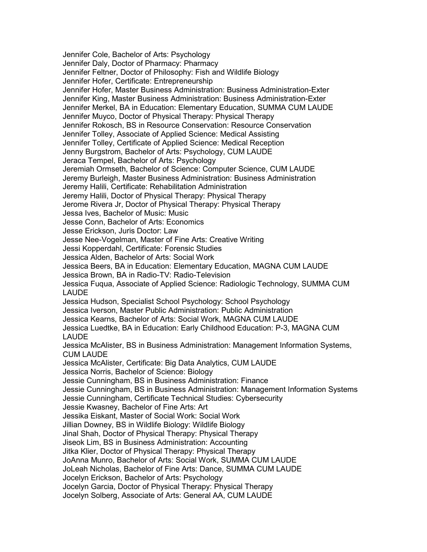Jennifer Cole, Bachelor of Arts: Psychology Jennifer Daly, Doctor of Pharmacy: Pharmacy Jennifer Feltner, Doctor of Philosophy: Fish and Wildlife Biology Jennifer Hofer, Certificate: Entrepreneurship Jennifer Hofer, Master Business Administration: Business Administration-Exter Jennifer King, Master Business Administration: Business Administration-Exter Jennifer Merkel, BA in Education: Elementary Education, SUMMA CUM LAUDE Jennifer Muyco, Doctor of Physical Therapy: Physical Therapy Jennifer Rokosch, BS in Resource Conservation: Resource Conservation Jennifer Tolley, Associate of Applied Science: Medical Assisting Jennifer Tolley, Certificate of Applied Science: Medical Reception Jenny Burgstrom, Bachelor of Arts: Psychology, CUM LAUDE Jeraca Tempel, Bachelor of Arts: Psychology Jeremiah Ormseth, Bachelor of Science: Computer Science, CUM LAUDE Jeremy Burleigh, Master Business Administration: Business Administration Jeremy Halili, Certificate: Rehabilitation Administration Jeremy Halili, Doctor of Physical Therapy: Physical Therapy Jerome Rivera Jr, Doctor of Physical Therapy: Physical Therapy Jessa Ives, Bachelor of Music: Music Jesse Conn, Bachelor of Arts: Economics Jesse Erickson, Juris Doctor: Law Jesse Nee-Vogelman, Master of Fine Arts: Creative Writing Jessi Kopperdahl, Certificate: Forensic Studies Jessica Alden, Bachelor of Arts: Social Work Jessica Beers, BA in Education: Elementary Education, MAGNA CUM LAUDE Jessica Brown, BA in Radio-TV: Radio-Television Jessica Fuqua, Associate of Applied Science: Radiologic Technology, SUMMA CUM LAUDE Jessica Hudson, Specialist School Psychology: School Psychology Jessica Iverson, Master Public Administration: Public Administration Jessica Kearns, Bachelor of Arts: Social Work, MAGNA CUM LAUDE Jessica Luedtke, BA in Education: Early Childhood Education: P-3, MAGNA CUM LAUDE Jessica McAlister, BS in Business Administration: Management Information Systems, CUM LAUDE Jessica McAlister, Certificate: Big Data Analytics, CUM LAUDE Jessica Norris, Bachelor of Science: Biology Jessie Cunningham, BS in Business Administration: Finance Jessie Cunningham, BS in Business Administration: Management Information Systems Jessie Cunningham, Certificate Technical Studies: Cybersecurity Jessie Kwasney, Bachelor of Fine Arts: Art Jessika Eiskant, Master of Social Work: Social Work Jillian Downey, BS in Wildlife Biology: Wildlife Biology Jinal Shah, Doctor of Physical Therapy: Physical Therapy Jiseok Lim, BS in Business Administration: Accounting Jitka Klier, Doctor of Physical Therapy: Physical Therapy JoAnna Munro, Bachelor of Arts: Social Work, SUMMA CUM LAUDE JoLeah Nicholas, Bachelor of Fine Arts: Dance, SUMMA CUM LAUDE Jocelyn Erickson, Bachelor of Arts: Psychology Jocelyn Garcia, Doctor of Physical Therapy: Physical Therapy Jocelyn Solberg, Associate of Arts: General AA, CUM LAUDE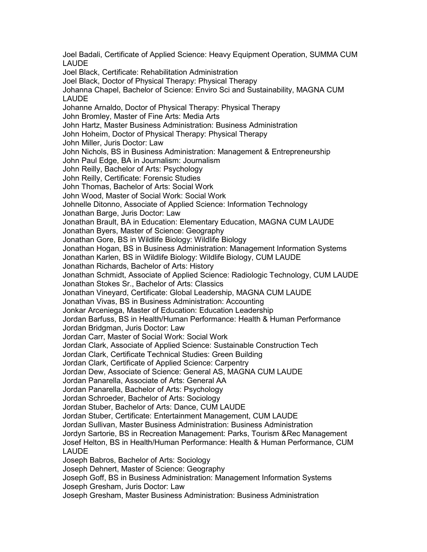Joel Badali, Certificate of Applied Science: Heavy Equipment Operation, SUMMA CUM LAUDE Joel Black, Certificate: Rehabilitation Administration Joel Black, Doctor of Physical Therapy: Physical Therapy Johanna Chapel, Bachelor of Science: Enviro Sci and Sustainability, MAGNA CUM LAUDE Johanne Arnaldo, Doctor of Physical Therapy: Physical Therapy John Bromley, Master of Fine Arts: Media Arts John Hartz, Master Business Administration: Business Administration John Hoheim, Doctor of Physical Therapy: Physical Therapy John Miller, Juris Doctor: Law John Nichols, BS in Business Administration: Management & Entrepreneurship John Paul Edge, BA in Journalism: Journalism John Reilly, Bachelor of Arts: Psychology John Reilly, Certificate: Forensic Studies John Thomas, Bachelor of Arts: Social Work John Wood, Master of Social Work: Social Work Johnelle Ditonno, Associate of Applied Science: Information Technology Jonathan Barge, Juris Doctor: Law Jonathan Brault, BA in Education: Elementary Education, MAGNA CUM LAUDE Jonathan Byers, Master of Science: Geography Jonathan Gore, BS in Wildlife Biology: Wildlife Biology Jonathan Hogan, BS in Business Administration: Management Information Systems Jonathan Karlen, BS in Wildlife Biology: Wildlife Biology, CUM LAUDE Jonathan Richards, Bachelor of Arts: History Jonathan Schmidt, Associate of Applied Science: Radiologic Technology, CUM LAUDE Jonathan Stokes Sr., Bachelor of Arts: Classics Jonathan Vineyard, Certificate: Global Leadership, MAGNA CUM LAUDE Jonathan Vivas, BS in Business Administration: Accounting Jonkar Arceniega, Master of Education: Education Leadership Jordan Barfuss, BS in Health/Human Performance: Health & Human Performance Jordan Bridgman, Juris Doctor: Law Jordan Carr, Master of Social Work: Social Work Jordan Clark, Associate of Applied Science: Sustainable Construction Tech Jordan Clark, Certificate Technical Studies: Green Building Jordan Clark, Certificate of Applied Science: Carpentry Jordan Dew, Associate of Science: General AS, MAGNA CUM LAUDE Jordan Panarella, Associate of Arts: General AA Jordan Panarella, Bachelor of Arts: Psychology Jordan Schroeder, Bachelor of Arts: Sociology Jordan Stuber, Bachelor of Arts: Dance, CUM LAUDE Jordan Stuber, Certificate: Entertainment Management, CUM LAUDE Jordan Sullivan, Master Business Administration: Business Administration Jordyn Sartorie, BS in Recreation Management: Parks, Tourism &Rec Management Josef Helton, BS in Health/Human Performance: Health & Human Performance, CUM LAUDE Joseph Babros, Bachelor of Arts: Sociology Joseph Dehnert, Master of Science: Geography Joseph Goff, BS in Business Administration: Management Information Systems Joseph Gresham, Juris Doctor: Law Joseph Gresham, Master Business Administration: Business Administration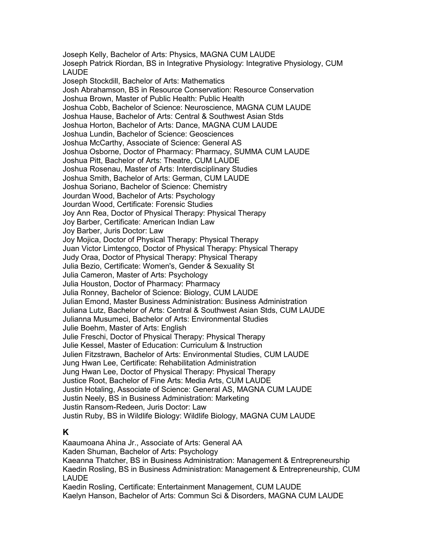Joseph Kelly, Bachelor of Arts: Physics, MAGNA CUM LAUDE Joseph Patrick Riordan, BS in Integrative Physiology: Integrative Physiology, CUM LAUDE Joseph Stockdill, Bachelor of Arts: Mathematics Josh Abrahamson, BS in Resource Conservation: Resource Conservation Joshua Brown, Master of Public Health: Public Health Joshua Cobb, Bachelor of Science: Neuroscience, MAGNA CUM LAUDE Joshua Hause, Bachelor of Arts: Central & Southwest Asian Stds Joshua Horton, Bachelor of Arts: Dance, MAGNA CUM LAUDE Joshua Lundin, Bachelor of Science: Geosciences Joshua McCarthy, Associate of Science: General AS Joshua Osborne, Doctor of Pharmacy: Pharmacy, SUMMA CUM LAUDE Joshua Pitt, Bachelor of Arts: Theatre, CUM LAUDE Joshua Rosenau, Master of Arts: Interdisciplinary Studies Joshua Smith, Bachelor of Arts: German, CUM LAUDE Joshua Soriano, Bachelor of Science: Chemistry Jourdan Wood, Bachelor of Arts: Psychology Jourdan Wood, Certificate: Forensic Studies Joy Ann Rea, Doctor of Physical Therapy: Physical Therapy Joy Barber, Certificate: American Indian Law Joy Barber, Juris Doctor: Law Joy Mojica, Doctor of Physical Therapy: Physical Therapy Juan Victor Limtengco, Doctor of Physical Therapy: Physical Therapy Judy Oraa, Doctor of Physical Therapy: Physical Therapy Julia Bezio, Certificate: Women's, Gender & Sexuality St Julia Cameron, Master of Arts: Psychology Julia Houston, Doctor of Pharmacy: Pharmacy Julia Ronney, Bachelor of Science: Biology, CUM LAUDE Julian Emond, Master Business Administration: Business Administration Juliana Lutz, Bachelor of Arts: Central & Southwest Asian Stds, CUM LAUDE Julianna Musumeci, Bachelor of Arts: Environmental Studies Julie Boehm, Master of Arts: English Julie Freschi, Doctor of Physical Therapy: Physical Therapy Julie Kessel, Master of Education: Curriculum & Instruction Julien Fitzstrawn, Bachelor of Arts: Environmental Studies, CUM LAUDE Jung Hwan Lee, Certificate: Rehabilitation Administration Jung Hwan Lee, Doctor of Physical Therapy: Physical Therapy Justice Root, Bachelor of Fine Arts: Media Arts, CUM LAUDE Justin Hotaling, Associate of Science: General AS, MAGNA CUM LAUDE Justin Neely, BS in Business Administration: Marketing Justin Ransom-Redeen, Juris Doctor: Law Justin Ruby, BS in Wildlife Biology: Wildlife Biology, MAGNA CUM LAUDE

### **K**

Kaaumoana Ahina Jr., Associate of Arts: General AA Kaden Shuman, Bachelor of Arts: Psychology Kaeanna Thatcher, BS in Business Administration: Management & Entrepreneurship Kaedin Rosling, BS in Business Administration: Management & Entrepreneurship, CUM LAUDE Kaedin Rosling, Certificate: Entertainment Management, CUM LAUDE Kaelyn Hanson, Bachelor of Arts: Commun Sci & Disorders, MAGNA CUM LAUDE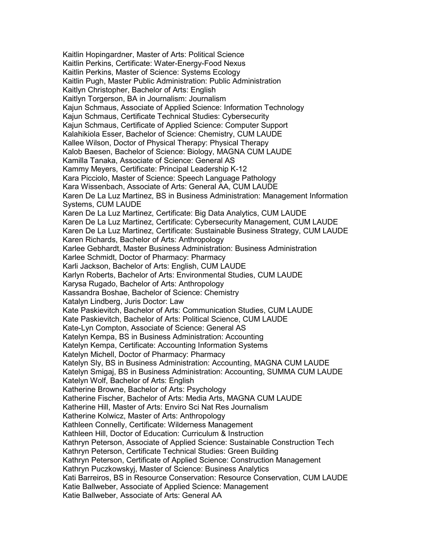Kaitlin Hopingardner, Master of Arts: Political Science Kaitlin Perkins, Certificate: Water-Energy-Food Nexus Kaitlin Perkins, Master of Science: Systems Ecology Kaitlin Pugh, Master Public Administration: Public Administration Kaitlyn Christopher, Bachelor of Arts: English Kaitlyn Torgerson, BA in Journalism: Journalism Kajun Schmaus, Associate of Applied Science: Information Technology Kajun Schmaus, Certificate Technical Studies: Cybersecurity Kajun Schmaus, Certificate of Applied Science: Computer Support Kalahikiola Esser, Bachelor of Science: Chemistry, CUM LAUDE Kallee Wilson, Doctor of Physical Therapy: Physical Therapy Kalob Baesen, Bachelor of Science: Biology, MAGNA CUM LAUDE Kamilla Tanaka, Associate of Science: General AS Kammy Meyers, Certificate: Principal Leadership K-12 Kara Picciolo, Master of Science: Speech Language Pathology Kara Wissenbach, Associate of Arts: General AA, CUM LAUDE Karen De La Luz Martinez, BS in Business Administration: Management Information Systems, CUM LAUDE Karen De La Luz Martinez, Certificate: Big Data Analytics, CUM LAUDE Karen De La Luz Martinez, Certificate: Cybersecurity Management, CUM LAUDE Karen De La Luz Martinez, Certificate: Sustainable Business Strategy, CUM LAUDE Karen Richards, Bachelor of Arts: Anthropology Karlee Gebhardt, Master Business Administration: Business Administration Karlee Schmidt, Doctor of Pharmacy: Pharmacy Karli Jackson, Bachelor of Arts: English, CUM LAUDE Karlyn Roberts, Bachelor of Arts: Environmental Studies, CUM LAUDE Karysa Rugado, Bachelor of Arts: Anthropology Kassandra Boshae, Bachelor of Science: Chemistry Katalyn Lindberg, Juris Doctor: Law Kate Paskievitch, Bachelor of Arts: Communication Studies, CUM LAUDE Kate Paskievitch, Bachelor of Arts: Political Science, CUM LAUDE Kate-Lyn Compton, Associate of Science: General AS Katelyn Kempa, BS in Business Administration: Accounting Katelyn Kempa, Certificate: Accounting Information Systems Katelyn Michell, Doctor of Pharmacy: Pharmacy Katelyn Sly, BS in Business Administration: Accounting, MAGNA CUM LAUDE Katelyn Smigaj, BS in Business Administration: Accounting, SUMMA CUM LAUDE Katelyn Wolf, Bachelor of Arts: English Katherine Browne, Bachelor of Arts: Psychology Katherine Fischer, Bachelor of Arts: Media Arts, MAGNA CUM LAUDE Katherine Hill, Master of Arts: Enviro Sci Nat Res Journalism Katherine Kolwicz, Master of Arts: Anthropology Kathleen Connelly, Certificate: Wilderness Management Kathleen Hill, Doctor of Education: Curriculum & Instruction Kathryn Peterson, Associate of Applied Science: Sustainable Construction Tech Kathryn Peterson, Certificate Technical Studies: Green Building Kathryn Peterson, Certificate of Applied Science: Construction Management Kathryn Puczkowskyj, Master of Science: Business Analytics Kati Barreiros, BS in Resource Conservation: Resource Conservation, CUM LAUDE Katie Ballweber, Associate of Applied Science: Management Katie Ballweber, Associate of Arts: General AA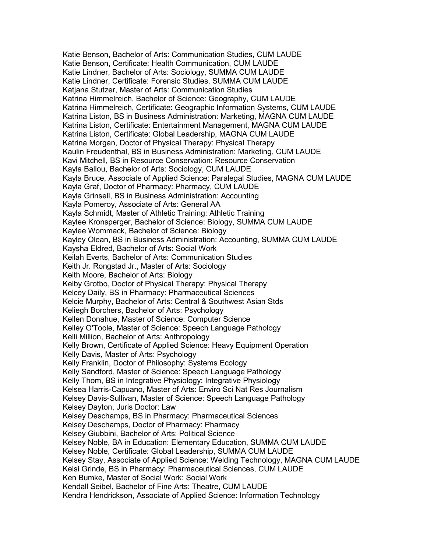Katie Benson, Bachelor of Arts: Communication Studies, CUM LAUDE Katie Benson, Certificate: Health Communication, CUM LAUDE Katie Lindner, Bachelor of Arts: Sociology, SUMMA CUM LAUDE Katie Lindner, Certificate: Forensic Studies, SUMMA CUM LAUDE Katiana Stutzer, Master of Arts: Communication Studies Katrina Himmelreich, Bachelor of Science: Geography, CUM LAUDE Katrina Himmelreich, Certificate: Geographic Information Systems, CUM LAUDE Katrina Liston, BS in Business Administration: Marketing, MAGNA CUM LAUDE Katrina Liston, Certificate: Entertainment Management, MAGNA CUM LAUDE Katrina Liston, Certificate: Global Leadership, MAGNA CUM LAUDE Katrina Morgan, Doctor of Physical Therapy: Physical Therapy Kaulin Freudenthal, BS in Business Administration: Marketing, CUM LAUDE Kavi Mitchell, BS in Resource Conservation: Resource Conservation Kayla Ballou, Bachelor of Arts: Sociology, CUM LAUDE Kayla Bruce, Associate of Applied Science: Paralegal Studies, MAGNA CUM LAUDE Kayla Graf, Doctor of Pharmacy: Pharmacy, CUM LAUDE Kayla Grinsell, BS in Business Administration: Accounting Kayla Pomeroy, Associate of Arts: General AA Kayla Schmidt, Master of Athletic Training: Athletic Training Kaylee Kronsperger, Bachelor of Science: Biology, SUMMA CUM LAUDE Kaylee Wommack, Bachelor of Science: Biology Kayley Olean, BS in Business Administration: Accounting, SUMMA CUM LAUDE Kaysha Eldred, Bachelor of Arts: Social Work Keilah Everts, Bachelor of Arts: Communication Studies Keith Jr. Rongstad Jr., Master of Arts: Sociology Keith Moore, Bachelor of Arts: Biology Kelby Grotbo, Doctor of Physical Therapy: Physical Therapy Kelcey Daily, BS in Pharmacy: Pharmaceutical Sciences Kelcie Murphy, Bachelor of Arts: Central & Southwest Asian Stds Keliegh Borchers, Bachelor of Arts: Psychology Kellen Donahue, Master of Science: Computer Science Kelley O'Toole, Master of Science: Speech Language Pathology Kelli Million, Bachelor of Arts: Anthropology Kelly Brown, Certificate of Applied Science: Heavy Equipment Operation Kelly Davis, Master of Arts: Psychology Kelly Franklin, Doctor of Philosophy: Systems Ecology Kelly Sandford, Master of Science: Speech Language Pathology Kelly Thom, BS in Integrative Physiology: Integrative Physiology Kelsea Harris-Capuano, Master of Arts: Enviro Sci Nat Res Journalism Kelsey Davis-Sullivan, Master of Science: Speech Language Pathology Kelsey Dayton, Juris Doctor: Law Kelsey Deschamps, BS in Pharmacy: Pharmaceutical Sciences Kelsey Deschamps, Doctor of Pharmacy: Pharmacy Kelsey Giubbini, Bachelor of Arts: Political Science Kelsey Noble, BA in Education: Elementary Education, SUMMA CUM LAUDE Kelsey Noble, Certificate: Global Leadership, SUMMA CUM LAUDE Kelsey Stay, Associate of Applied Science: Welding Technology, MAGNA CUM LAUDE Kelsi Grinde, BS in Pharmacy: Pharmaceutical Sciences, CUM LAUDE Ken Bumke, Master of Social Work: Social Work Kendall Seibel, Bachelor of Fine Arts: Theatre, CUM LAUDE Kendra Hendrickson, Associate of Applied Science: Information Technology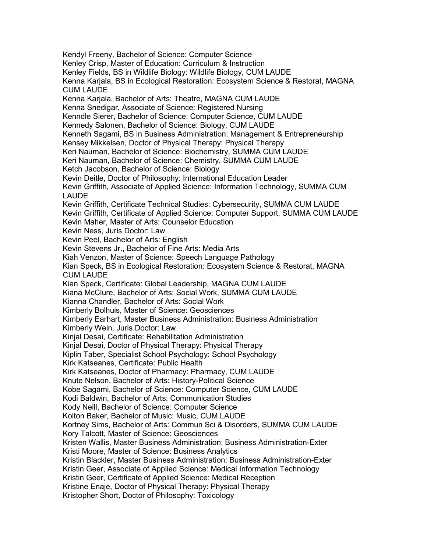Kendyl Freeny, Bachelor of Science: Computer Science Kenley Crisp, Master of Education: Curriculum & Instruction Kenley Fields, BS in Wildlife Biology: Wildlife Biology, CUM LAUDE Kenna Karjala, BS in Ecological Restoration: Ecosystem Science & Restorat, MAGNA CUM LAUDE Kenna Karjala, Bachelor of Arts: Theatre, MAGNA CUM LAUDE Kenna Snedigar, Associate of Science: Registered Nursing Kenndle Sierer, Bachelor of Science: Computer Science, CUM LAUDE Kennedy Salonen, Bachelor of Science: Biology, CUM LAUDE Kenneth Sagami, BS in Business Administration: Management & Entrepreneurship Kensey Mikkelsen, Doctor of Physical Therapy: Physical Therapy Keri Nauman, Bachelor of Science: Biochemistry, SUMMA CUM LAUDE Keri Nauman, Bachelor of Science: Chemistry, SUMMA CUM LAUDE Ketch Jacobson, Bachelor of Science: Biology Kevin Deitle, Doctor of Philosophy: International Education Leader Kevin Griffith, Associate of Applied Science: Information Technology, SUMMA CUM LAUDE Kevin Griffith, Certificate Technical Studies: Cybersecurity, SUMMA CUM LAUDE Kevin Griffith, Certificate of Applied Science: Computer Support, SUMMA CUM LAUDE Kevin Maher, Master of Arts: Counselor Education Kevin Ness, Juris Doctor: Law Kevin Peel, Bachelor of Arts: English Kevin Stevens Jr., Bachelor of Fine Arts: Media Arts Kiah Venzon, Master of Science: Speech Language Pathology Kian Speck, BS in Ecological Restoration: Ecosystem Science & Restorat, MAGNA CUM LAUDE Kian Speck, Certificate: Global Leadership, MAGNA CUM LAUDE Kiana McClure, Bachelor of Arts: Social Work, SUMMA CUM LAUDE Kianna Chandler, Bachelor of Arts: Social Work Kimberly Bolhuis, Master of Science: Geosciences Kimberly Earhart, Master Business Administration: Business Administration Kimberly Wein, Juris Doctor: Law Kinjal Desai, Certificate: Rehabilitation Administration Kinjal Desai, Doctor of Physical Therapy: Physical Therapy Kiplin Taber, Specialist School Psychology: School Psychology Kirk Katseanes, Certificate: Public Health Kirk Katseanes, Doctor of Pharmacy: Pharmacy, CUM LAUDE Knute Nelson, Bachelor of Arts: History-Political Science Kobe Sagami, Bachelor of Science: Computer Science, CUM LAUDE Kodi Baldwin, Bachelor of Arts: Communication Studies Kody Neill, Bachelor of Science: Computer Science Kolton Baker, Bachelor of Music: Music, CUM LAUDE Kortney Sims, Bachelor of Arts: Commun Sci & Disorders, SUMMA CUM LAUDE Kory Talcott, Master of Science: Geosciences Kristen Wallis, Master Business Administration: Business Administration-Exter Kristi Moore, Master of Science: Business Analytics Kristin Blackler, Master Business Administration: Business Administration-Exter Kristin Geer, Associate of Applied Science: Medical Information Technology Kristin Geer, Certificate of Applied Science: Medical Reception Kristine Enaje, Doctor of Physical Therapy: Physical Therapy Kristopher Short, Doctor of Philosophy: Toxicology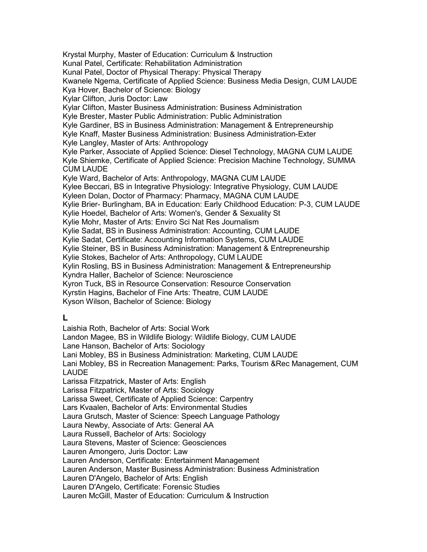Krystal Murphy, Master of Education: Curriculum & Instruction Kunal Patel, Certificate: Rehabilitation Administration Kunal Patel, Doctor of Physical Therapy: Physical Therapy Kwanele Ngema, Certificate of Applied Science: Business Media Design, CUM LAUDE Kya Hover, Bachelor of Science: Biology Kylar Clifton, Juris Doctor: Law Kylar Clifton, Master Business Administration: Business Administration Kyle Brester, Master Public Administration: Public Administration Kyle Gardiner, BS in Business Administration: Management & Entrepreneurship Kyle Knaff, Master Business Administration: Business Administration-Exter Kyle Langley, Master of Arts: Anthropology Kyle Parker, Associate of Applied Science: Diesel Technology, MAGNA CUM LAUDE Kyle Shiemke, Certificate of Applied Science: Precision Machine Technology, SUMMA CUM LAUDE Kyle Ward, Bachelor of Arts: Anthropology, MAGNA CUM LAUDE Kylee Beccari, BS in Integrative Physiology: Integrative Physiology, CUM LAUDE Kyleen Dolan, Doctor of Pharmacy: Pharmacy, MAGNA CUM LAUDE Kylie Brier- Burlingham, BA in Education: Early Childhood Education: P-3, CUM LAUDE Kylie Hoedel, Bachelor of Arts: Women's, Gender & Sexuality St Kylie Mohr, Master of Arts: Enviro Sci Nat Res Journalism Kylie Sadat, BS in Business Administration: Accounting, CUM LAUDE Kylie Sadat, Certificate: Accounting Information Systems, CUM LAUDE Kylie Steiner, BS in Business Administration: Management & Entrepreneurship Kylie Stokes, Bachelor of Arts: Anthropology, CUM LAUDE Kylin Rosling, BS in Business Administration: Management & Entrepreneurship Kyndra Haller, Bachelor of Science: Neuroscience Kyron Tuck, BS in Resource Conservation: Resource Conservation Kyrstin Hagins, Bachelor of Fine Arts: Theatre, CUM LAUDE Kyson Wilson, Bachelor of Science: Biology

### **L**

Laishia Roth, Bachelor of Arts: Social Work Landon Magee, BS in Wildlife Biology: Wildlife Biology, CUM LAUDE Lane Hanson, Bachelor of Arts: Sociology Lani Mobley, BS in Business Administration: Marketing, CUM LAUDE Lani Mobley, BS in Recreation Management: Parks, Tourism &Rec Management, CUM LAUDE Larissa Fitzpatrick, Master of Arts: English Larissa Fitzpatrick, Master of Arts: Sociology Larissa Sweet, Certificate of Applied Science: Carpentry Lars Kvaalen, Bachelor of Arts: Environmental Studies Laura Grutsch, Master of Science: Speech Language Pathology Laura Newby, Associate of Arts: General AA Laura Russell, Bachelor of Arts: Sociology Laura Stevens, Master of Science: Geosciences Lauren Amongero, Juris Doctor: Law Lauren Anderson, Certificate: Entertainment Management Lauren Anderson, Master Business Administration: Business Administration Lauren D'Angelo, Bachelor of Arts: English Lauren D'Angelo, Certificate: Forensic Studies Lauren McGill, Master of Education: Curriculum & Instruction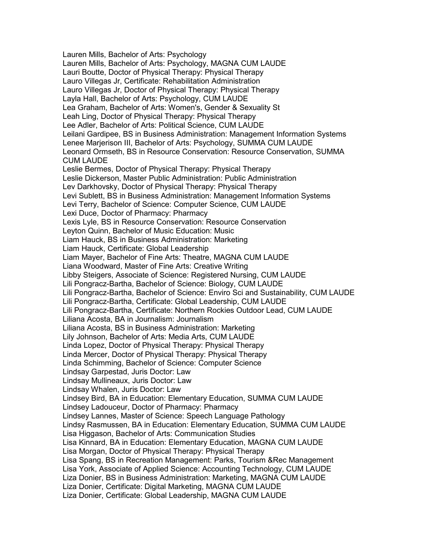Lauren Mills, Bachelor of Arts: Psychology Lauren Mills, Bachelor of Arts: Psychology, MAGNA CUM LAUDE Lauri Boutte, Doctor of Physical Therapy: Physical Therapy Lauro Villegas Jr, Certificate: Rehabilitation Administration Lauro Villegas Jr, Doctor of Physical Therapy: Physical Therapy Layla Hall, Bachelor of Arts: Psychology, CUM LAUDE Lea Graham, Bachelor of Arts: Women's, Gender & Sexuality St Leah Ling, Doctor of Physical Therapy: Physical Therapy Lee Adler, Bachelor of Arts: Political Science, CUM LAUDE Leilani Gardipee, BS in Business Administration: Management Information Systems Lenee Marjerison III, Bachelor of Arts: Psychology, SUMMA CUM LAUDE Leonard Ormseth, BS in Resource Conservation: Resource Conservation, SUMMA CUM LAUDE Leslie Bermes, Doctor of Physical Therapy: Physical Therapy Leslie Dickerson, Master Public Administration: Public Administration Lev Darkhovsky, Doctor of Physical Therapy: Physical Therapy Levi Sublett, BS in Business Administration: Management Information Systems Levi Terry, Bachelor of Science: Computer Science, CUM LAUDE Lexi Duce, Doctor of Pharmacy: Pharmacy Lexis Lyle, BS in Resource Conservation: Resource Conservation Leyton Quinn, Bachelor of Music Education: Music Liam Hauck, BS in Business Administration: Marketing Liam Hauck, Certificate: Global Leadership Liam Mayer, Bachelor of Fine Arts: Theatre, MAGNA CUM LAUDE Liana Woodward, Master of Fine Arts: Creative Writing Libby Steigers, Associate of Science: Registered Nursing, CUM LAUDE Lili Pongracz-Bartha, Bachelor of Science: Biology, CUM LAUDE Lili Pongracz-Bartha, Bachelor of Science: Enviro Sci and Sustainability, CUM LAUDE Lili Pongracz-Bartha, Certificate: Global Leadership, CUM LAUDE Lili Pongracz-Bartha, Certificate: Northern Rockies Outdoor Lead, CUM LAUDE Liliana Acosta, BA in Journalism: Journalism Liliana Acosta, BS in Business Administration: Marketing Lily Johnson, Bachelor of Arts: Media Arts, CUM LAUDE Linda Lopez, Doctor of Physical Therapy: Physical Therapy Linda Mercer, Doctor of Physical Therapy: Physical Therapy Linda Schimming, Bachelor of Science: Computer Science Lindsay Garpestad, Juris Doctor: Law Lindsay Mullineaux, Juris Doctor: Law Lindsay Whalen, Juris Doctor: Law Lindsey Bird, BA in Education: Elementary Education, SUMMA CUM LAUDE Lindsey Ladouceur, Doctor of Pharmacy: Pharmacy Lindsey Lannes, Master of Science: Speech Language Pathology Lindsy Rasmussen, BA in Education: Elementary Education, SUMMA CUM LAUDE Lisa Higgason, Bachelor of Arts: Communication Studies Lisa Kinnard, BA in Education: Elementary Education, MAGNA CUM LAUDE Lisa Morgan, Doctor of Physical Therapy: Physical Therapy Lisa Spang, BS in Recreation Management: Parks, Tourism &Rec Management Lisa York, Associate of Applied Science: Accounting Technology, CUM LAUDE Liza Donier, BS in Business Administration: Marketing, MAGNA CUM LAUDE Liza Donier, Certificate: Digital Marketing, MAGNA CUM LAUDE Liza Donier, Certificate: Global Leadership, MAGNA CUM LAUDE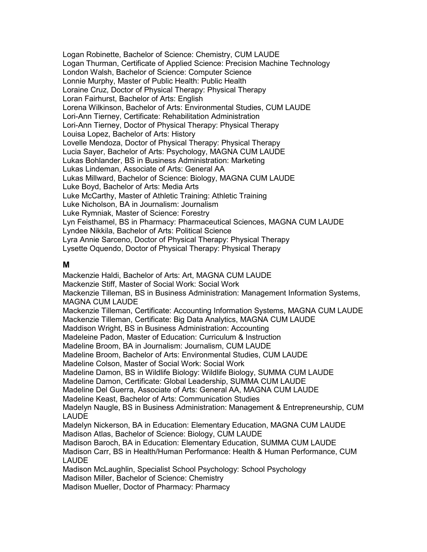Logan Robinette, Bachelor of Science: Chemistry, CUM LAUDE Logan Thurman, Certificate of Applied Science: Precision Machine Technology London Walsh, Bachelor of Science: Computer Science Lonnie Murphy, Master of Public Health: Public Health Loraine Cruz, Doctor of Physical Therapy: Physical Therapy Loran Fairhurst, Bachelor of Arts: English Lorena Wilkinson, Bachelor of Arts: Environmental Studies, CUM LAUDE Lori-Ann Tierney, Certificate: Rehabilitation Administration Lori-Ann Tierney, Doctor of Physical Therapy: Physical Therapy Louisa Lopez, Bachelor of Arts: History Lovelle Mendoza, Doctor of Physical Therapy: Physical Therapy Lucia Sayer, Bachelor of Arts: Psychology, MAGNA CUM LAUDE Lukas Bohlander, BS in Business Administration: Marketing Lukas Lindeman, Associate of Arts: General AA Lukas Millward, Bachelor of Science: Biology, MAGNA CUM LAUDE Luke Boyd, Bachelor of Arts: Media Arts Luke McCarthy, Master of Athletic Training: Athletic Training Luke Nicholson, BA in Journalism: Journalism Luke Rymniak, Master of Science: Forestry Lyn Feisthamel, BS in Pharmacy: Pharmaceutical Sciences, MAGNA CUM LAUDE Lyndee Nikkila, Bachelor of Arts: Political Science Lyra Annie Sarceno, Doctor of Physical Therapy: Physical Therapy Lysette Oquendo, Doctor of Physical Therapy: Physical Therapy

#### **M**

Mackenzie Haldi, Bachelor of Arts: Art, MAGNA CUM LAUDE Mackenzie Stiff, Master of Social Work: Social Work Mackenzie Tilleman, BS in Business Administration: Management Information Systems, MAGNA CUM LAUDE Mackenzie Tilleman, Certificate: Accounting Information Systems, MAGNA CUM LAUDE Mackenzie Tilleman, Certificate: Big Data Analytics, MAGNA CUM LAUDE Maddison Wright, BS in Business Administration: Accounting Madeleine Padon, Master of Education: Curriculum & Instruction Madeline Broom, BA in Journalism: Journalism, CUM LAUDE Madeline Broom, Bachelor of Arts: Environmental Studies, CUM LAUDE Madeline Colson, Master of Social Work: Social Work Madeline Damon, BS in Wildlife Biology: Wildlife Biology, SUMMA CUM LAUDE Madeline Damon, Certificate: Global Leadership, SUMMA CUM LAUDE Madeline Del Guerra, Associate of Arts: General AA, MAGNA CUM LAUDE Madeline Keast, Bachelor of Arts: Communication Studies Madelyn Naugle, BS in Business Administration: Management & Entrepreneurship, CUM LAUDE Madelyn Nickerson, BA in Education: Elementary Education, MAGNA CUM LAUDE Madison Atlas, Bachelor of Science: Biology, CUM LAUDE Madison Baroch, BA in Education: Elementary Education, SUMMA CUM LAUDE Madison Carr, BS in Health/Human Performance: Health & Human Performance, CUM LAUDE Madison McLaughlin, Specialist School Psychology: School Psychology Madison Miller, Bachelor of Science: Chemistry Madison Mueller, Doctor of Pharmacy: Pharmacy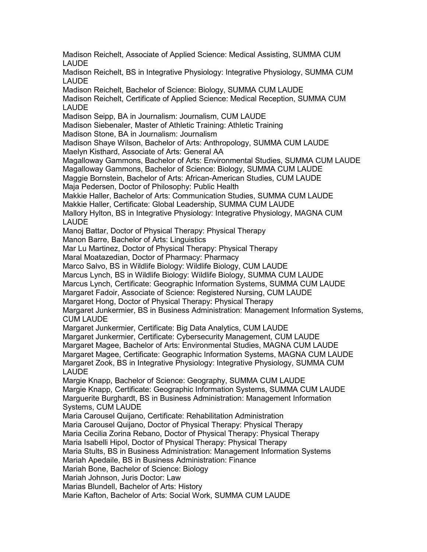Madison Reichelt, Associate of Applied Science: Medical Assisting, SUMMA CUM LAUDE Madison Reichelt, BS in Integrative Physiology: Integrative Physiology, SUMMA CUM LAUDE Madison Reichelt, Bachelor of Science: Biology, SUMMA CUM LAUDE Madison Reichelt, Certificate of Applied Science: Medical Reception, SUMMA CUM LAUDE Madison Seipp, BA in Journalism: Journalism, CUM LAUDE Madison Siebenaler, Master of Athletic Training: Athletic Training Madison Stone, BA in Journalism: Journalism Madison Shaye Wilson, Bachelor of Arts: Anthropology, SUMMA CUM LAUDE Maelyn Kisthard, Associate of Arts: General AA Magalloway Gammons, Bachelor of Arts: Environmental Studies, SUMMA CUM LAUDE Magalloway Gammons, Bachelor of Science: Biology, SUMMA CUM LAUDE Maggie Bornstein, Bachelor of Arts: African-American Studies, CUM LAUDE Maja Pedersen, Doctor of Philosophy: Public Health Makkie Haller, Bachelor of Arts: Communication Studies, SUMMA CUM LAUDE Makkie Haller, Certificate: Global Leadership, SUMMA CUM LAUDE Mallory Hylton, BS in Integrative Physiology: Integrative Physiology, MAGNA CUM LAUDE Manoj Battar, Doctor of Physical Therapy: Physical Therapy Manon Barre, Bachelor of Arts: Linguistics Mar Lu Martinez, Doctor of Physical Therapy: Physical Therapy Maral Moatazedian, Doctor of Pharmacy: Pharmacy Marco Salvo, BS in Wildlife Biology: Wildlife Biology, CUM LAUDE Marcus Lynch, BS in Wildlife Biology: Wildlife Biology, SUMMA CUM LAUDE Marcus Lynch, Certificate: Geographic Information Systems, SUMMA CUM LAUDE Margaret Fadoir, Associate of Science: Registered Nursing, CUM LAUDE Margaret Hong, Doctor of Physical Therapy: Physical Therapy Margaret Junkermier, BS in Business Administration: Management Information Systems, CUM LAUDE Margaret Junkermier, Certificate: Big Data Analytics, CUM LAUDE Margaret Junkermier, Certificate: Cybersecurity Management, CUM LAUDE Margaret Magee, Bachelor of Arts: Environmental Studies, MAGNA CUM LAUDE Margaret Magee, Certificate: Geographic Information Systems, MAGNA CUM LAUDE Margaret Zook, BS in Integrative Physiology: Integrative Physiology, SUMMA CUM LAUDE Margie Knapp, Bachelor of Science: Geography, SUMMA CUM LAUDE Margie Knapp, Certificate: Geographic Information Systems, SUMMA CUM LAUDE Marguerite Burghardt, BS in Business Administration: Management Information Systems, CUM LAUDE Maria Carousel Quijano, Certificate: Rehabilitation Administration Maria Carousel Quijano, Doctor of Physical Therapy: Physical Therapy Maria Cecilia Zorina Rebano, Doctor of Physical Therapy: Physical Therapy Maria Isabelli Hipol, Doctor of Physical Therapy: Physical Therapy Maria Stults, BS in Business Administration: Management Information Systems Mariah Apedaile, BS in Business Administration: Finance Mariah Bone, Bachelor of Science: Biology Mariah Johnson, Juris Doctor: Law Marias Blundell, Bachelor of Arts: History Marie Kafton, Bachelor of Arts: Social Work, SUMMA CUM LAUDE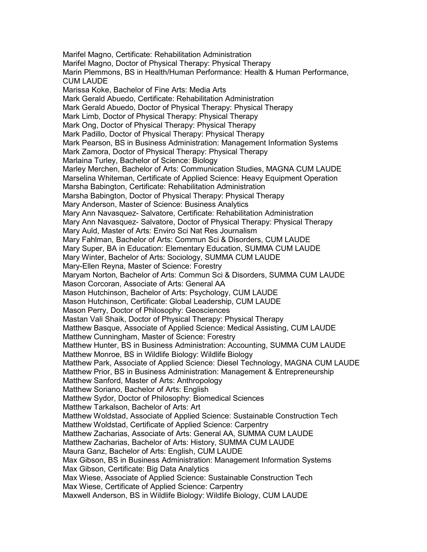Marifel Magno, Certificate: Rehabilitation Administration Marifel Magno, Doctor of Physical Therapy: Physical Therapy Marin Plemmons, BS in Health/Human Performance: Health & Human Performance, CUM LAUDE Marissa Koke, Bachelor of Fine Arts: Media Arts Mark Gerald Abuedo, Certificate: Rehabilitation Administration Mark Gerald Abuedo, Doctor of Physical Therapy: Physical Therapy Mark Limb, Doctor of Physical Therapy: Physical Therapy Mark Ong, Doctor of Physical Therapy: Physical Therapy Mark Padillo, Doctor of Physical Therapy: Physical Therapy Mark Pearson, BS in Business Administration: Management Information Systems Mark Zamora, Doctor of Physical Therapy: Physical Therapy Marlaina Turley, Bachelor of Science: Biology Marley Merchen, Bachelor of Arts: Communication Studies, MAGNA CUM LAUDE Marselina Whiteman, Certificate of Applied Science: Heavy Equipment Operation Marsha Babington, Certificate: Rehabilitation Administration Marsha Babington, Doctor of Physical Therapy: Physical Therapy Mary Anderson, Master of Science: Business Analytics Mary Ann Navasquez- Salvatore, Certificate: Rehabilitation Administration Mary Ann Navasquez- Salvatore, Doctor of Physical Therapy: Physical Therapy Mary Auld, Master of Arts: Enviro Sci Nat Res Journalism Mary Fahlman, Bachelor of Arts: Commun Sci & Disorders, CUM LAUDE Mary Super, BA in Education: Elementary Education, SUMMA CUM LAUDE Mary Winter, Bachelor of Arts: Sociology, SUMMA CUM LAUDE Mary-Ellen Reyna, Master of Science: Forestry Maryam Norton, Bachelor of Arts: Commun Sci & Disorders, SUMMA CUM LAUDE Mason Corcoran, Associate of Arts: General AA Mason Hutchinson, Bachelor of Arts: Psychology, CUM LAUDE Mason Hutchinson, Certificate: Global Leadership, CUM LAUDE Mason Perry, Doctor of Philosophy: Geosciences Mastan Vali Shaik, Doctor of Physical Therapy: Physical Therapy Matthew Basque, Associate of Applied Science: Medical Assisting, CUM LAUDE Matthew Cunningham, Master of Science: Forestry Matthew Hunter, BS in Business Administration: Accounting, SUMMA CUM LAUDE Matthew Monroe, BS in Wildlife Biology: Wildlife Biology Matthew Park, Associate of Applied Science: Diesel Technology, MAGNA CUM LAUDE Matthew Prior, BS in Business Administration: Management & Entrepreneurship Matthew Sanford, Master of Arts: Anthropology Matthew Soriano, Bachelor of Arts: English Matthew Sydor, Doctor of Philosophy: Biomedical Sciences Matthew Tarkalson, Bachelor of Arts: Art Matthew Woldstad, Associate of Applied Science: Sustainable Construction Tech Matthew Woldstad, Certificate of Applied Science: Carpentry Matthew Zacharias, Associate of Arts: General AA, SUMMA CUM LAUDE Matthew Zacharias, Bachelor of Arts: History, SUMMA CUM LAUDE Maura Ganz, Bachelor of Arts: English, CUM LAUDE Max Gibson, BS in Business Administration: Management Information Systems Max Gibson, Certificate: Big Data Analytics Max Wiese, Associate of Applied Science: Sustainable Construction Tech Max Wiese, Certificate of Applied Science: Carpentry Maxwell Anderson, BS in Wildlife Biology: Wildlife Biology, CUM LAUDE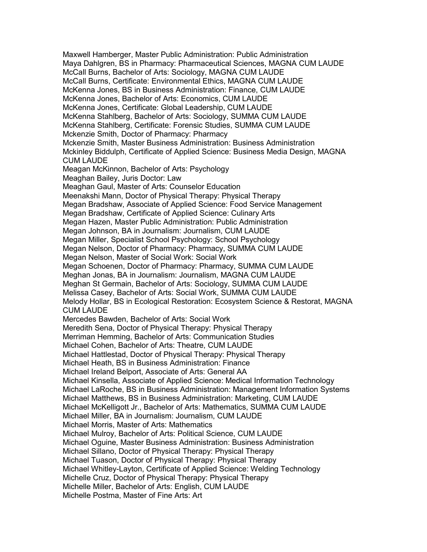Maxwell Hamberger, Master Public Administration: Public Administration Maya Dahlgren, BS in Pharmacy: Pharmaceutical Sciences, MAGNA CUM LAUDE McCall Burns, Bachelor of Arts: Sociology, MAGNA CUM LAUDE McCall Burns, Certificate: Environmental Ethics, MAGNA CUM LAUDE McKenna Jones, BS in Business Administration: Finance, CUM LAUDE McKenna Jones, Bachelor of Arts: Economics, CUM LAUDE McKenna Jones, Certificate: Global Leadership, CUM LAUDE McKenna Stahlberg, Bachelor of Arts: Sociology, SUMMA CUM LAUDE McKenna Stahlberg, Certificate: Forensic Studies, SUMMA CUM LAUDE Mckenzie Smith, Doctor of Pharmacy: Pharmacy Mckenzie Smith, Master Business Administration: Business Administration Mckinley Biddulph, Certificate of Applied Science: Business Media Design, MAGNA CUM LAUDE Meagan McKinnon, Bachelor of Arts: Psychology Meaghan Bailey, Juris Doctor: Law Meaghan Gaul, Master of Arts: Counselor Education Meenakshi Mann, Doctor of Physical Therapy: Physical Therapy Megan Bradshaw, Associate of Applied Science: Food Service Management Megan Bradshaw, Certificate of Applied Science: Culinary Arts Megan Hazen, Master Public Administration: Public Administration Megan Johnson, BA in Journalism: Journalism, CUM LAUDE Megan Miller, Specialist School Psychology: School Psychology Megan Nelson, Doctor of Pharmacy: Pharmacy, SUMMA CUM LAUDE Megan Nelson, Master of Social Work: Social Work Megan Schoenen, Doctor of Pharmacy: Pharmacy, SUMMA CUM LAUDE Meghan Jonas, BA in Journalism: Journalism, MAGNA CUM LAUDE Meghan St Germain, Bachelor of Arts: Sociology, SUMMA CUM LAUDE Melissa Casey, Bachelor of Arts: Social Work, SUMMA CUM LAUDE Melody Hollar, BS in Ecological Restoration: Ecosystem Science & Restorat, MAGNA CUM LAUDE Mercedes Bawden, Bachelor of Arts: Social Work Meredith Sena, Doctor of Physical Therapy: Physical Therapy Merriman Hemming, Bachelor of Arts: Communication Studies Michael Cohen, Bachelor of Arts: Theatre, CUM LAUDE Michael Hattlestad, Doctor of Physical Therapy: Physical Therapy Michael Heath, BS in Business Administration: Finance Michael Ireland Belport, Associate of Arts: General AA Michael Kinsella, Associate of Applied Science: Medical Information Technology Michael LaRoche, BS in Business Administration: Management Information Systems Michael Matthews, BS in Business Administration: Marketing, CUM LAUDE Michael McKelligott Jr., Bachelor of Arts: Mathematics, SUMMA CUM LAUDE Michael Miller, BA in Journalism: Journalism, CUM LAUDE Michael Morris, Master of Arts: Mathematics Michael Mulroy, Bachelor of Arts: Political Science, CUM LAUDE Michael Oguine, Master Business Administration: Business Administration Michael Sillano, Doctor of Physical Therapy: Physical Therapy Michael Tuason, Doctor of Physical Therapy: Physical Therapy Michael Whitley-Layton, Certificate of Applied Science: Welding Technology Michelle Cruz, Doctor of Physical Therapy: Physical Therapy Michelle Miller, Bachelor of Arts: English, CUM LAUDE Michelle Postma, Master of Fine Arts: Art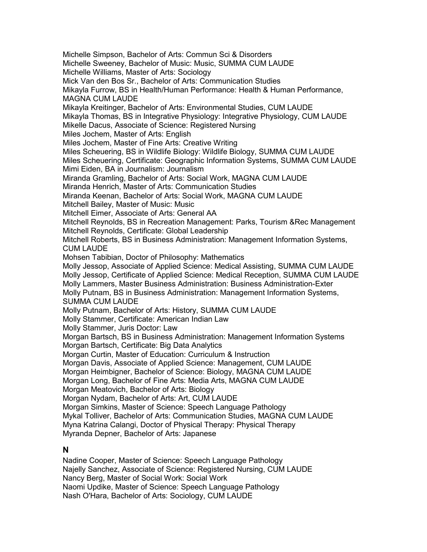Michelle Simpson, Bachelor of Arts: Commun Sci & Disorders Michelle Sweeney, Bachelor of Music: Music, SUMMA CUM LAUDE Michelle Williams, Master of Arts: Sociology Mick Van den Bos Sr., Bachelor of Arts: Communication Studies Mikayla Furrow, BS in Health/Human Performance: Health & Human Performance, MAGNA CUM LAUDE Mikayla Kreitinger, Bachelor of Arts: Environmental Studies, CUM LAUDE Mikayla Thomas, BS in Integrative Physiology: Integrative Physiology, CUM LAUDE Mikelle Dacus, Associate of Science: Registered Nursing Miles Jochem, Master of Arts: English Miles Jochem, Master of Fine Arts: Creative Writing Miles Scheuering, BS in Wildlife Biology: Wildlife Biology, SUMMA CUM LAUDE Miles Scheuering, Certificate: Geographic Information Systems, SUMMA CUM LAUDE Mimi Eiden, BA in Journalism: Journalism Miranda Gramling, Bachelor of Arts: Social Work, MAGNA CUM LAUDE Miranda Henrich, Master of Arts: Communication Studies Miranda Keenan, Bachelor of Arts: Social Work, MAGNA CUM LAUDE Mitchell Bailey, Master of Music: Music Mitchell Eimer, Associate of Arts: General AA Mitchell Reynolds, BS in Recreation Management: Parks, Tourism &Rec Management Mitchell Reynolds, Certificate: Global Leadership Mitchell Roberts, BS in Business Administration: Management Information Systems, CUM LAUDE Mohsen Tabibian, Doctor of Philosophy: Mathematics Molly Jessop, Associate of Applied Science: Medical Assisting, SUMMA CUM LAUDE Molly Jessop, Certificate of Applied Science: Medical Reception, SUMMA CUM LAUDE Molly Lammers, Master Business Administration: Business Administration-Exter Molly Putnam, BS in Business Administration: Management Information Systems, SUMMA CUM LAUDE Molly Putnam, Bachelor of Arts: History, SUMMA CUM LAUDE Molly Stammer, Certificate: American Indian Law Molly Stammer, Juris Doctor: Law Morgan Bartsch, BS in Business Administration: Management Information Systems Morgan Bartsch, Certificate: Big Data Analytics Morgan Curtin, Master of Education: Curriculum & Instruction Morgan Davis, Associate of Applied Science: Management, CUM LAUDE Morgan Heimbigner, Bachelor of Science: Biology, MAGNA CUM LAUDE Morgan Long, Bachelor of Fine Arts: Media Arts, MAGNA CUM LAUDE Morgan Meatovich, Bachelor of Arts: Biology Morgan Nydam, Bachelor of Arts: Art, CUM LAUDE Morgan Simkins, Master of Science: Speech Language Pathology Mykal Tolliver, Bachelor of Arts: Communication Studies, MAGNA CUM LAUDE Myna Katrina Calangi, Doctor of Physical Therapy: Physical Therapy Myranda Depner, Bachelor of Arts: Japanese **N**

Nadine Cooper, Master of Science: Speech Language Pathology Najelly Sanchez, Associate of Science: Registered Nursing, CUM LAUDE Nancy Berg, Master of Social Work: Social Work Naomi Updike, Master of Science: Speech Language Pathology Nash O'Hara, Bachelor of Arts: Sociology, CUM LAUDE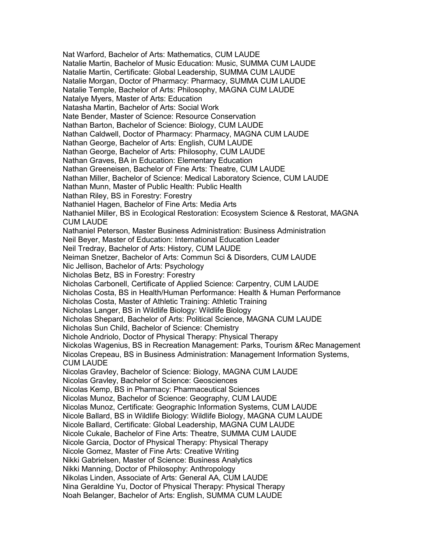Nat Warford, Bachelor of Arts: Mathematics, CUM LAUDE Natalie Martin, Bachelor of Music Education: Music, SUMMA CUM LAUDE Natalie Martin, Certificate: Global Leadership, SUMMA CUM LAUDE Natalie Morgan, Doctor of Pharmacy: Pharmacy, SUMMA CUM LAUDE Natalie Temple, Bachelor of Arts: Philosophy, MAGNA CUM LAUDE Natalye Myers, Master of Arts: Education Natasha Martin, Bachelor of Arts: Social Work Nate Bender, Master of Science: Resource Conservation Nathan Barton, Bachelor of Science: Biology, CUM LAUDE Nathan Caldwell, Doctor of Pharmacy: Pharmacy, MAGNA CUM LAUDE Nathan George, Bachelor of Arts: English, CUM LAUDE Nathan George, Bachelor of Arts: Philosophy, CUM LAUDE Nathan Graves, BA in Education: Elementary Education Nathan Greeneisen, Bachelor of Fine Arts: Theatre, CUM LAUDE Nathan Miller, Bachelor of Science: Medical Laboratory Science, CUM LAUDE Nathan Munn, Master of Public Health: Public Health Nathan Riley, BS in Forestry: Forestry Nathaniel Hagen, Bachelor of Fine Arts: Media Arts Nathaniel Miller, BS in Ecological Restoration: Ecosystem Science & Restorat, MAGNA CUM LAUDE Nathaniel Peterson, Master Business Administration: Business Administration Neil Beyer, Master of Education: International Education Leader Neil Tredray, Bachelor of Arts: History, CUM LAUDE Neiman Snetzer, Bachelor of Arts: Commun Sci & Disorders, CUM LAUDE Nic Jellison, Bachelor of Arts: Psychology Nicholas Betz, BS in Forestry: Forestry Nicholas Carbonell, Certificate of Applied Science: Carpentry, CUM LAUDE Nicholas Costa, BS in Health/Human Performance: Health & Human Performance Nicholas Costa, Master of Athletic Training: Athletic Training Nicholas Langer, BS in Wildlife Biology: Wildlife Biology Nicholas Shepard, Bachelor of Arts: Political Science, MAGNA CUM LAUDE Nicholas Sun Child, Bachelor of Science: Chemistry Nichole Andriolo, Doctor of Physical Therapy: Physical Therapy Nickolas Wagenius, BS in Recreation Management: Parks, Tourism &Rec Management Nicolas Crepeau, BS in Business Administration: Management Information Systems, CUM LAUDE Nicolas Gravley, Bachelor of Science: Biology, MAGNA CUM LAUDE Nicolas Gravley, Bachelor of Science: Geosciences Nicolas Kemp, BS in Pharmacy: Pharmaceutical Sciences Nicolas Munoz, Bachelor of Science: Geography, CUM LAUDE Nicolas Munoz, Certificate: Geographic Information Systems, CUM LAUDE Nicole Ballard, BS in Wildlife Biology: Wildlife Biology, MAGNA CUM LAUDE Nicole Ballard, Certificate: Global Leadership, MAGNA CUM LAUDE Nicole Cukale, Bachelor of Fine Arts: Theatre, SUMMA CUM LAUDE Nicole Garcia, Doctor of Physical Therapy: Physical Therapy Nicole Gomez, Master of Fine Arts: Creative Writing Nikki Gabrielsen, Master of Science: Business Analytics Nikki Manning, Doctor of Philosophy: Anthropology Nikolas Linden, Associate of Arts: General AA, CUM LAUDE Nina Geraldine Yu, Doctor of Physical Therapy: Physical Therapy Noah Belanger, Bachelor of Arts: English, SUMMA CUM LAUDE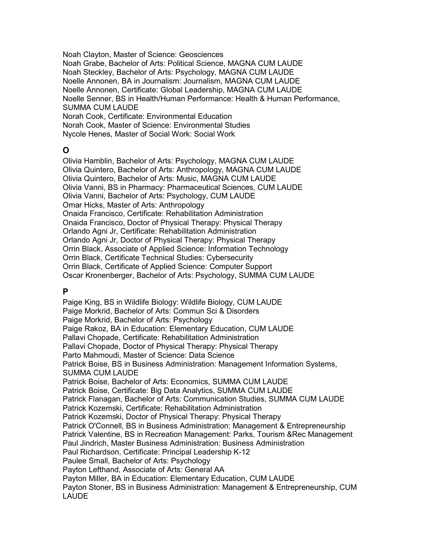Noah Clayton, Master of Science: Geosciences Noah Grabe, Bachelor of Arts: Political Science, MAGNA CUM LAUDE Noah Steckley, Bachelor of Arts: Psychology, MAGNA CUM LAUDE Noelle Annonen, BA in Journalism: Journalism, MAGNA CUM LAUDE Noelle Annonen, Certificate: Global Leadership, MAGNA CUM LAUDE Noelle Senner, BS in Health/Human Performance: Health & Human Performance, SUMMA CUM LAUDE Norah Cook, Certificate: Environmental Education Norah Cook, Master of Science: Environmental Studies Nycole Henes, Master of Social Work: Social Work

### **O**

Olivia Hamblin, Bachelor of Arts: Psychology, MAGNA CUM LAUDE Olivia Quintero, Bachelor of Arts: Anthropology, MAGNA CUM LAUDE Olivia Quintero, Bachelor of Arts: Music, MAGNA CUM LAUDE Olivia Vanni, BS in Pharmacy: Pharmaceutical Sciences, CUM LAUDE Olivia Vanni, Bachelor of Arts: Psychology, CUM LAUDE Omar Hicks, Master of Arts: Anthropology Onaida Francisco, Certificate: Rehabilitation Administration Onaida Francisco, Doctor of Physical Therapy: Physical Therapy Orlando Agni Jr, Certificate: Rehabilitation Administration Orlando Agni Jr, Doctor of Physical Therapy: Physical Therapy Orrin Black, Associate of Applied Science: Information Technology Orrin Black, Certificate Technical Studies: Cybersecurity Orrin Black, Certificate of Applied Science: Computer Support Oscar Kronenberger, Bachelor of Arts: Psychology, SUMMA CUM LAUDE

### **P**

Paige King, BS in Wildlife Biology: Wildlife Biology, CUM LAUDE Paige Morkrid, Bachelor of Arts: Commun Sci & Disorders Paige Morkrid, Bachelor of Arts: Psychology Paige Rakoz, BA in Education: Elementary Education, CUM LAUDE Pallavi Chopade, Certificate: Rehabilitation Administration Pallavi Chopade, Doctor of Physical Therapy: Physical Therapy Parto Mahmoudi, Master of Science: Data Science Patrick Boise, BS in Business Administration: Management Information Systems, SUMMA CUM LAUDE Patrick Boise, Bachelor of Arts: Economics, SUMMA CUM LAUDE Patrick Boise, Certificate: Big Data Analytics, SUMMA CUM LAUDE Patrick Flanagan, Bachelor of Arts: Communication Studies, SUMMA CUM LAUDE Patrick Kozemski, Certificate: Rehabilitation Administration Patrick Kozemski, Doctor of Physical Therapy: Physical Therapy Patrick O'Connell, BS in Business Administration: Management & Entrepreneurship Patrick Valentine, BS in Recreation Management: Parks, Tourism &Rec Management Paul Jindrich, Master Business Administration: Business Administration Paul Richardson, Certificate: Principal Leadership K-12 Paulee Small, Bachelor of Arts: Psychology Payton Lefthand, Associate of Arts: General AA Payton Miller, BA in Education: Elementary Education, CUM LAUDE Payton Stoner, BS in Business Administration: Management & Entrepreneurship, CUM LAUDE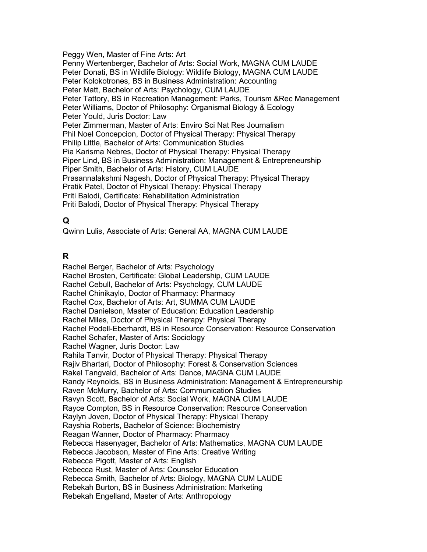Peggy Wen, Master of Fine Arts: Art Penny Wertenberger, Bachelor of Arts: Social Work, MAGNA CUM LAUDE Peter Donati, BS in Wildlife Biology: Wildlife Biology, MAGNA CUM LAUDE Peter Kolokotrones, BS in Business Administration: Accounting Peter Matt, Bachelor of Arts: Psychology, CUM LAUDE Peter Tattory, BS in Recreation Management: Parks, Tourism &Rec Management Peter Williams, Doctor of Philosophy: Organismal Biology & Ecology Peter Yould, Juris Doctor: Law Peter Zimmerman, Master of Arts: Enviro Sci Nat Res Journalism Phil Noel Concepcion, Doctor of Physical Therapy: Physical Therapy Philip Little, Bachelor of Arts: Communication Studies Pia Karisma Nebres, Doctor of Physical Therapy: Physical Therapy Piper Lind, BS in Business Administration: Management & Entrepreneurship Piper Smith, Bachelor of Arts: History, CUM LAUDE Prasannalakshmi Nagesh, Doctor of Physical Therapy: Physical Therapy Pratik Patel, Doctor of Physical Therapy: Physical Therapy Priti Balodi, Certificate: Rehabilitation Administration Priti Balodi, Doctor of Physical Therapy: Physical Therapy

### **Q**

Qwinn Lulis, Associate of Arts: General AA, MAGNA CUM LAUDE

### **R**

Rachel Berger, Bachelor of Arts: Psychology Rachel Brosten, Certificate: Global Leadership, CUM LAUDE Rachel Cebull, Bachelor of Arts: Psychology, CUM LAUDE Rachel Chinikaylo, Doctor of Pharmacy: Pharmacy Rachel Cox, Bachelor of Arts: Art, SUMMA CUM LAUDE Rachel Danielson, Master of Education: Education Leadership Rachel Miles, Doctor of Physical Therapy: Physical Therapy Rachel Podell-Eberhardt, BS in Resource Conservation: Resource Conservation Rachel Schafer, Master of Arts: Sociology Rachel Wagner, Juris Doctor: Law Rahila Tanvir, Doctor of Physical Therapy: Physical Therapy Rajiv Bhartari, Doctor of Philosophy: Forest & Conservation Sciences Rakel Tangvald, Bachelor of Arts: Dance, MAGNA CUM LAUDE Randy Reynolds, BS in Business Administration: Management & Entrepreneurship Raven McMurry, Bachelor of Arts: Communication Studies Ravyn Scott, Bachelor of Arts: Social Work, MAGNA CUM LAUDE Rayce Compton, BS in Resource Conservation: Resource Conservation Raylyn Joven, Doctor of Physical Therapy: Physical Therapy Rayshia Roberts, Bachelor of Science: Biochemistry Reagan Wanner, Doctor of Pharmacy: Pharmacy Rebecca Hasenyager, Bachelor of Arts: Mathematics, MAGNA CUM LAUDE Rebecca Jacobson, Master of Fine Arts: Creative Writing Rebecca Pigott, Master of Arts: English Rebecca Rust, Master of Arts: Counselor Education Rebecca Smith, Bachelor of Arts: Biology, MAGNA CUM LAUDE Rebekah Burton, BS in Business Administration: Marketing Rebekah Engelland, Master of Arts: Anthropology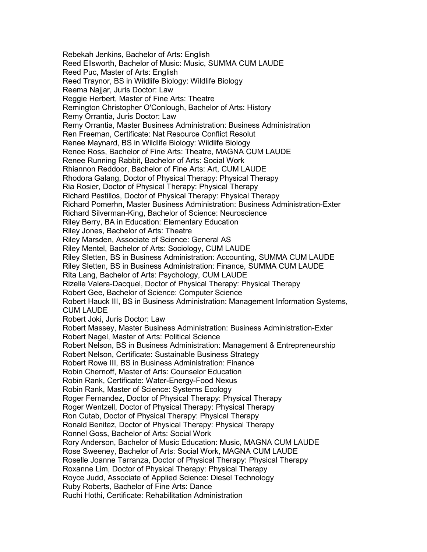Rebekah Jenkins, Bachelor of Arts: English Reed Ellsworth, Bachelor of Music: Music, SUMMA CUM LAUDE Reed Puc, Master of Arts: English Reed Traynor, BS in Wildlife Biology: Wildlife Biology Reema Najjar, Juris Doctor: Law Reggie Herbert, Master of Fine Arts: Theatre Remington Christopher O'Conlough, Bachelor of Arts: History Remy Orrantia, Juris Doctor: Law Remy Orrantia, Master Business Administration: Business Administration Ren Freeman, Certificate: Nat Resource Conflict Resolut Renee Maynard, BS in Wildlife Biology: Wildlife Biology Renee Ross, Bachelor of Fine Arts: Theatre, MAGNA CUM LAUDE Renee Running Rabbit, Bachelor of Arts: Social Work Rhiannon Reddoor, Bachelor of Fine Arts: Art, CUM LAUDE Rhodora Galang, Doctor of Physical Therapy: Physical Therapy Ria Rosier, Doctor of Physical Therapy: Physical Therapy Richard Pestillos, Doctor of Physical Therapy: Physical Therapy Richard Pomerhn, Master Business Administration: Business Administration-Exter Richard Silverman-King, Bachelor of Science: Neuroscience Riley Berry, BA in Education: Elementary Education Riley Jones, Bachelor of Arts: Theatre Riley Marsden, Associate of Science: General AS Riley Mentel, Bachelor of Arts: Sociology, CUM LAUDE Riley Sletten, BS in Business Administration: Accounting, SUMMA CUM LAUDE Riley Sletten, BS in Business Administration: Finance, SUMMA CUM LAUDE Rita Lang, Bachelor of Arts: Psychology, CUM LAUDE Rizelle Valera-Dacquel, Doctor of Physical Therapy: Physical Therapy Robert Gee, Bachelor of Science: Computer Science Robert Hauck III, BS in Business Administration: Management Information Systems, CUM LAUDE Robert Joki, Juris Doctor: Law Robert Massey, Master Business Administration: Business Administration-Exter Robert Nagel, Master of Arts: Political Science Robert Nelson, BS in Business Administration: Management & Entrepreneurship Robert Nelson, Certificate: Sustainable Business Strategy Robert Rowe III, BS in Business Administration: Finance Robin Chernoff, Master of Arts: Counselor Education Robin Rank, Certificate: Water-Energy-Food Nexus Robin Rank, Master of Science: Systems Ecology Roger Fernandez, Doctor of Physical Therapy: Physical Therapy Roger Wentzell, Doctor of Physical Therapy: Physical Therapy Ron Cutab, Doctor of Physical Therapy: Physical Therapy Ronald Benitez, Doctor of Physical Therapy: Physical Therapy Ronnel Goss, Bachelor of Arts: Social Work Rory Anderson, Bachelor of Music Education: Music, MAGNA CUM LAUDE Rose Sweeney, Bachelor of Arts: Social Work, MAGNA CUM LAUDE Roselle Joanne Tarranza, Doctor of Physical Therapy: Physical Therapy Roxanne Lim, Doctor of Physical Therapy: Physical Therapy Royce Judd, Associate of Applied Science: Diesel Technology Ruby Roberts, Bachelor of Fine Arts: Dance Ruchi Hothi, Certificate: Rehabilitation Administration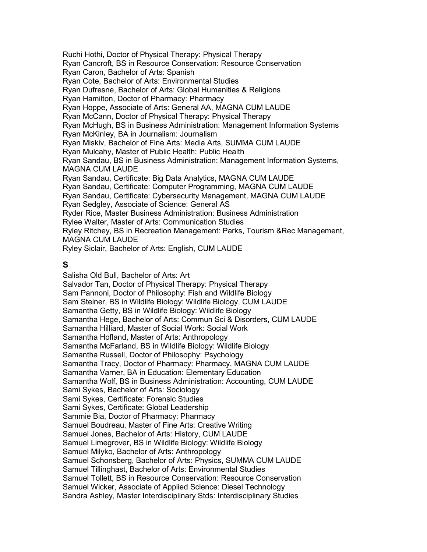Ruchi Hothi, Doctor of Physical Therapy: Physical Therapy Ryan Cancroft, BS in Resource Conservation: Resource Conservation Ryan Caron, Bachelor of Arts: Spanish Ryan Cote, Bachelor of Arts: Environmental Studies Ryan Dufresne, Bachelor of Arts: Global Humanities & Religions Ryan Hamilton, Doctor of Pharmacy: Pharmacy Ryan Hoppe, Associate of Arts: General AA, MAGNA CUM LAUDE Ryan McCann, Doctor of Physical Therapy: Physical Therapy Ryan McHugh, BS in Business Administration: Management Information Systems Ryan McKinley, BA in Journalism: Journalism Ryan Miskiv, Bachelor of Fine Arts: Media Arts, SUMMA CUM LAUDE Ryan Mulcahy, Master of Public Health: Public Health Ryan Sandau, BS in Business Administration: Management Information Systems, MAGNA CUM LAUDE Ryan Sandau, Certificate: Big Data Analytics, MAGNA CUM LAUDE Ryan Sandau, Certificate: Computer Programming, MAGNA CUM LAUDE Ryan Sandau, Certificate: Cybersecurity Management, MAGNA CUM LAUDE Ryan Sedgley, Associate of Science: General AS Ryder Rice, Master Business Administration: Business Administration Rylee Walter, Master of Arts: Communication Studies Ryley Ritchey, BS in Recreation Management: Parks, Tourism &Rec Management, MAGNA CUM LAUDE Ryley Siclair, Bachelor of Arts: English, CUM LAUDE

#### **S**

Salisha Old Bull, Bachelor of Arts: Art Salvador Tan, Doctor of Physical Therapy: Physical Therapy Sam Pannoni, Doctor of Philosophy: Fish and Wildlife Biology Sam Steiner, BS in Wildlife Biology: Wildlife Biology, CUM LAUDE Samantha Getty, BS in Wildlife Biology: Wildlife Biology Samantha Hege, Bachelor of Arts: Commun Sci & Disorders, CUM LAUDE Samantha Hilliard, Master of Social Work: Social Work Samantha Hofland, Master of Arts: Anthropology Samantha McFarland, BS in Wildlife Biology: Wildlife Biology Samantha Russell, Doctor of Philosophy: Psychology Samantha Tracy, Doctor of Pharmacy: Pharmacy, MAGNA CUM LAUDE Samantha Varner, BA in Education: Elementary Education Samantha Wolf, BS in Business Administration: Accounting, CUM LAUDE Sami Sykes, Bachelor of Arts: Sociology Sami Sykes, Certificate: Forensic Studies Sami Sykes, Certificate: Global Leadership Sammie Bia, Doctor of Pharmacy: Pharmacy Samuel Boudreau, Master of Fine Arts: Creative Writing Samuel Jones, Bachelor of Arts: History, CUM LAUDE Samuel Limegrover, BS in Wildlife Biology: Wildlife Biology Samuel Milyko, Bachelor of Arts: Anthropology Samuel Schonsberg, Bachelor of Arts: Physics, SUMMA CUM LAUDE Samuel Tillinghast, Bachelor of Arts: Environmental Studies Samuel Tollett, BS in Resource Conservation: Resource Conservation Samuel Wicker, Associate of Applied Science: Diesel Technology Sandra Ashley, Master Interdisciplinary Stds: Interdisciplinary Studies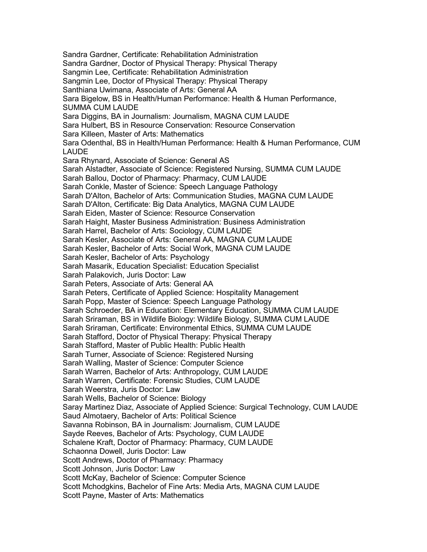Sandra Gardner, Certificate: Rehabilitation Administration Sandra Gardner, Doctor of Physical Therapy: Physical Therapy Sangmin Lee, Certificate: Rehabilitation Administration Sangmin Lee, Doctor of Physical Therapy: Physical Therapy Santhiana Uwimana, Associate of Arts: General AA Sara Bigelow, BS in Health/Human Performance: Health & Human Performance, SUMMA CUM LAUDE Sara Diggins, BA in Journalism: Journalism, MAGNA CUM LAUDE Sara Hulbert, BS in Resource Conservation: Resource Conservation Sara Killeen, Master of Arts: Mathematics Sara Odenthal, BS in Health/Human Performance: Health & Human Performance, CUM LAUDE Sara Rhynard, Associate of Science: General AS Sarah Alstadter, Associate of Science: Registered Nursing, SUMMA CUM LAUDE Sarah Ballou, Doctor of Pharmacy: Pharmacy, CUM LAUDE Sarah Conkle, Master of Science: Speech Language Pathology Sarah D'Alton, Bachelor of Arts: Communication Studies, MAGNA CUM LAUDE Sarah D'Alton, Certificate: Big Data Analytics, MAGNA CUM LAUDE Sarah Eiden, Master of Science: Resource Conservation Sarah Haight, Master Business Administration: Business Administration Sarah Harrel, Bachelor of Arts: Sociology, CUM LAUDE Sarah Kesler, Associate of Arts: General AA, MAGNA CUM LAUDE Sarah Kesler, Bachelor of Arts: Social Work, MAGNA CUM LAUDE Sarah Kesler, Bachelor of Arts: Psychology Sarah Masarik, Education Specialist: Education Specialist Sarah Palakovich, Juris Doctor: Law Sarah Peters, Associate of Arts: General AA Sarah Peters, Certificate of Applied Science: Hospitality Management Sarah Popp, Master of Science: Speech Language Pathology Sarah Schroeder, BA in Education: Elementary Education, SUMMA CUM LAUDE Sarah Sriraman, BS in Wildlife Biology: Wildlife Biology, SUMMA CUM LAUDE Sarah Sriraman, Certificate: Environmental Ethics, SUMMA CUM LAUDE Sarah Stafford, Doctor of Physical Therapy: Physical Therapy Sarah Stafford, Master of Public Health: Public Health Sarah Turner, Associate of Science: Registered Nursing Sarah Walling, Master of Science: Computer Science Sarah Warren, Bachelor of Arts: Anthropology, CUM LAUDE Sarah Warren, Certificate: Forensic Studies, CUM LAUDE Sarah Weerstra, Juris Doctor: Law Sarah Wells, Bachelor of Science: Biology Saray Martinez Diaz, Associate of Applied Science: Surgical Technology, CUM LAUDE Saud Almotaery, Bachelor of Arts: Political Science Savanna Robinson, BA in Journalism: Journalism, CUM LAUDE Sayde Reeves, Bachelor of Arts: Psychology, CUM LAUDE Schalene Kraft, Doctor of Pharmacy: Pharmacy, CUM LAUDE Schaonna Dowell, Juris Doctor: Law Scott Andrews, Doctor of Pharmacy: Pharmacy Scott Johnson, Juris Doctor: Law Scott McKay, Bachelor of Science: Computer Science Scott Mchodgkins, Bachelor of Fine Arts: Media Arts, MAGNA CUM LAUDE Scott Payne, Master of Arts: Mathematics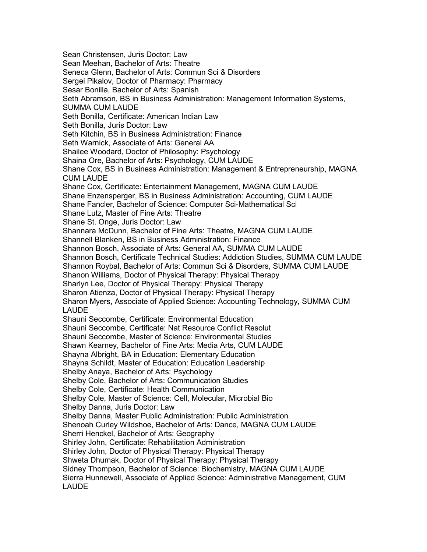Sean Christensen, Juris Doctor: Law Sean Meehan, Bachelor of Arts: Theatre Seneca Glenn, Bachelor of Arts: Commun Sci & Disorders Sergei Pikalov, Doctor of Pharmacy: Pharmacy Sesar Bonilla, Bachelor of Arts: Spanish Seth Abramson, BS in Business Administration: Management Information Systems, SUMMA CUM LAUDE Seth Bonilla, Certificate: American Indian Law Seth Bonilla, Juris Doctor: Law Seth Kitchin, BS in Business Administration: Finance Seth Warnick, Associate of Arts: General AA Shailee Woodard, Doctor of Philosophy: Psychology Shaina Ore, Bachelor of Arts: Psychology, CUM LAUDE Shane Cox, BS in Business Administration: Management & Entrepreneurship, MAGNA CUM LAUDE Shane Cox, Certificate: Entertainment Management, MAGNA CUM LAUDE Shane Enzensperger, BS in Business Administration: Accounting, CUM LAUDE Shane Fancler, Bachelor of Science: Computer Sci-Mathematical Sci Shane Lutz, Master of Fine Arts: Theatre Shane St. Onge, Juris Doctor: Law Shannara McDunn, Bachelor of Fine Arts: Theatre, MAGNA CUM LAUDE Shannell Blanken, BS in Business Administration: Finance Shannon Bosch, Associate of Arts: General AA, SUMMA CUM LAUDE Shannon Bosch, Certificate Technical Studies: Addiction Studies, SUMMA CUM LAUDE Shannon Roybal, Bachelor of Arts: Commun Sci & Disorders, SUMMA CUM LAUDE Shanon Williams, Doctor of Physical Therapy: Physical Therapy Sharlyn Lee, Doctor of Physical Therapy: Physical Therapy Sharon Atienza, Doctor of Physical Therapy: Physical Therapy Sharon Myers, Associate of Applied Science: Accounting Technology, SUMMA CUM LAUDE Shauni Seccombe, Certificate: Environmental Education Shauni Seccombe, Certificate: Nat Resource Conflict Resolut Shauni Seccombe, Master of Science: Environmental Studies Shawn Kearney, Bachelor of Fine Arts: Media Arts, CUM LAUDE Shayna Albright, BA in Education: Elementary Education Shayna Schildt, Master of Education: Education Leadership Shelby Anaya, Bachelor of Arts: Psychology Shelby Cole, Bachelor of Arts: Communication Studies Shelby Cole, Certificate: Health Communication Shelby Cole, Master of Science: Cell, Molecular, Microbial Bio Shelby Danna, Juris Doctor: Law Shelby Danna, Master Public Administration: Public Administration Shenoah Curley Wildshoe, Bachelor of Arts: Dance, MAGNA CUM LAUDE Sherri Henckel, Bachelor of Arts: Geography Shirley John, Certificate: Rehabilitation Administration Shirley John, Doctor of Physical Therapy: Physical Therapy Shweta Dhumak, Doctor of Physical Therapy: Physical Therapy Sidney Thompson, Bachelor of Science: Biochemistry, MAGNA CUM LAUDE Sierra Hunnewell, Associate of Applied Science: Administrative Management, CUM LAUDE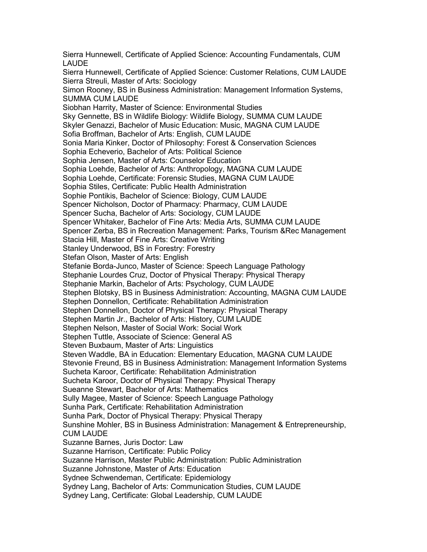Sierra Hunnewell, Certificate of Applied Science: Accounting Fundamentals, CUM LAUDE Sierra Hunnewell, Certificate of Applied Science: Customer Relations, CUM LAUDE Sierra Streuli, Master of Arts: Sociology Simon Rooney, BS in Business Administration: Management Information Systems, SUMMA CUM LAUDE Siobhan Harrity, Master of Science: Environmental Studies Sky Gennette, BS in Wildlife Biology: Wildlife Biology, SUMMA CUM LAUDE Skyler Genazzi, Bachelor of Music Education: Music, MAGNA CUM LAUDE Sofia Broffman, Bachelor of Arts: English, CUM LAUDE Sonia Maria Kinker, Doctor of Philosophy: Forest & Conservation Sciences Sophia Echeverio, Bachelor of Arts: Political Science Sophia Jensen, Master of Arts: Counselor Education Sophia Loehde, Bachelor of Arts: Anthropology, MAGNA CUM LAUDE Sophia Loehde, Certificate: Forensic Studies, MAGNA CUM LAUDE Sophia Stiles, Certificate: Public Health Administration Sophie Pontikis, Bachelor of Science: Biology, CUM LAUDE Spencer Nicholson, Doctor of Pharmacy: Pharmacy, CUM LAUDE Spencer Sucha, Bachelor of Arts: Sociology, CUM LAUDE Spencer Whitaker, Bachelor of Fine Arts: Media Arts, SUMMA CUM LAUDE Spencer Zerba, BS in Recreation Management: Parks, Tourism &Rec Management Stacia Hill, Master of Fine Arts: Creative Writing Stanley Underwood, BS in Forestry: Forestry Stefan Olson, Master of Arts: English Stefanie Borda-Junco, Master of Science: Speech Language Pathology Stephanie Lourdes Cruz, Doctor of Physical Therapy: Physical Therapy Stephanie Markin, Bachelor of Arts: Psychology, CUM LAUDE Stephen Blotsky, BS in Business Administration: Accounting, MAGNA CUM LAUDE Stephen Donnellon, Certificate: Rehabilitation Administration Stephen Donnellon, Doctor of Physical Therapy: Physical Therapy Stephen Martin Jr., Bachelor of Arts: History, CUM LAUDE Stephen Nelson, Master of Social Work: Social Work Stephen Tuttle, Associate of Science: General AS Steven Buxbaum, Master of Arts: Linguistics Steven Waddle, BA in Education: Elementary Education, MAGNA CUM LAUDE Stevonie Freund, BS in Business Administration: Management Information Systems Sucheta Karoor, Certificate: Rehabilitation Administration Sucheta Karoor, Doctor of Physical Therapy: Physical Therapy Sueanne Stewart, Bachelor of Arts: Mathematics Sully Magee, Master of Science: Speech Language Pathology Sunha Park, Certificate: Rehabilitation Administration Sunha Park, Doctor of Physical Therapy: Physical Therapy Sunshine Mohler, BS in Business Administration: Management & Entrepreneurship, CUM LAUDE Suzanne Barnes, Juris Doctor: Law Suzanne Harrison, Certificate: Public Policy Suzanne Harrison, Master Public Administration: Public Administration Suzanne Johnstone, Master of Arts: Education Sydnee Schwendeman, Certificate: Epidemiology Sydney Lang, Bachelor of Arts: Communication Studies, CUM LAUDE Sydney Lang, Certificate: Global Leadership, CUM LAUDE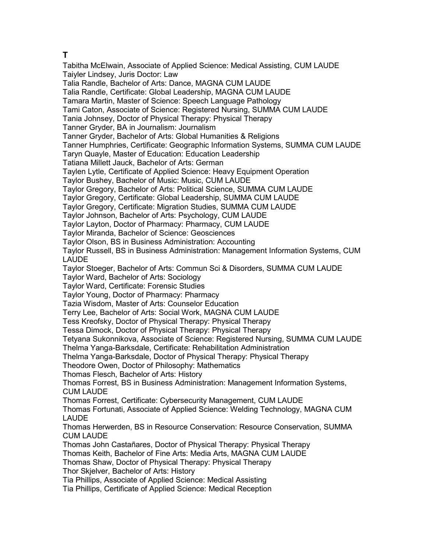### **T**

Tabitha McElwain, Associate of Applied Science: Medical Assisting, CUM LAUDE Taiyler Lindsey, Juris Doctor: Law Talia Randle, Bachelor of Arts: Dance, MAGNA CUM LAUDE Talia Randle, Certificate: Global Leadership, MAGNA CUM LAUDE Tamara Martin, Master of Science: Speech Language Pathology Tami Caton, Associate of Science: Registered Nursing, SUMMA CUM LAUDE Tania Johnsey, Doctor of Physical Therapy: Physical Therapy Tanner Gryder, BA in Journalism: Journalism Tanner Gryder, Bachelor of Arts: Global Humanities & Religions Tanner Humphries, Certificate: Geographic Information Systems, SUMMA CUM LAUDE Taryn Quayle, Master of Education: Education Leadership Tatiana Millett Jauck, Bachelor of Arts: German Taylen Lytle, Certificate of Applied Science: Heavy Equipment Operation Taylor Bushey, Bachelor of Music: Music, CUM LAUDE Taylor Gregory, Bachelor of Arts: Political Science, SUMMA CUM LAUDE Taylor Gregory, Certificate: Global Leadership, SUMMA CUM LAUDE Taylor Gregory, Certificate: Migration Studies, SUMMA CUM LAUDE Taylor Johnson, Bachelor of Arts: Psychology, CUM LAUDE Taylor Layton, Doctor of Pharmacy: Pharmacy, CUM LAUDE Taylor Miranda, Bachelor of Science: Geosciences Taylor Olson, BS in Business Administration: Accounting Taylor Russell, BS in Business Administration: Management Information Systems, CUM LAUDE Taylor Stoeger, Bachelor of Arts: Commun Sci & Disorders, SUMMA CUM LAUDE Taylor Ward, Bachelor of Arts: Sociology Taylor Ward, Certificate: Forensic Studies Taylor Young, Doctor of Pharmacy: Pharmacy Tazia Wisdom, Master of Arts: Counselor Education Terry Lee, Bachelor of Arts: Social Work, MAGNA CUM LAUDE Tess Kreofsky, Doctor of Physical Therapy: Physical Therapy Tessa Dimock, Doctor of Physical Therapy: Physical Therapy Tetyana Sukonnikova, Associate of Science: Registered Nursing, SUMMA CUM LAUDE Thelma Yanga-Barksdale, Certificate: Rehabilitation Administration Thelma Yanga-Barksdale, Doctor of Physical Therapy: Physical Therapy Theodore Owen, Doctor of Philosophy: Mathematics Thomas Flesch, Bachelor of Arts: History Thomas Forrest, BS in Business Administration: Management Information Systems, CUM LAUDE Thomas Forrest, Certificate: Cybersecurity Management, CUM LAUDE Thomas Fortunati, Associate of Applied Science: Welding Technology, MAGNA CUM LAUDE Thomas Herwerden, BS in Resource Conservation: Resource Conservation, SUMMA CUM LAUDE Thomas John Castañares, Doctor of Physical Therapy: Physical Therapy Thomas Keith, Bachelor of Fine Arts: Media Arts, MAGNA CUM LAUDE Thomas Shaw, Doctor of Physical Therapy: Physical Therapy Thor Skjelver, Bachelor of Arts: History Tia Phillips, Associate of Applied Science: Medical Assisting Tia Phillips, Certificate of Applied Science: Medical Reception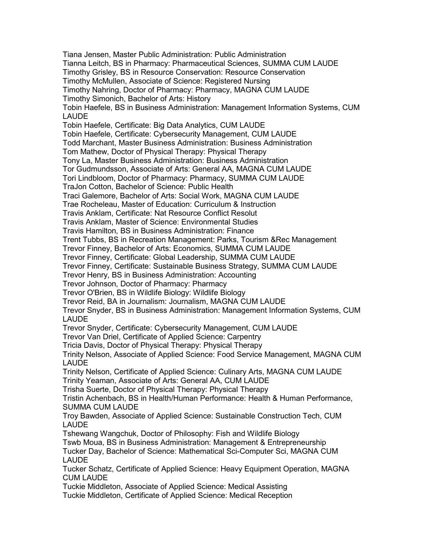Tiana Jensen, Master Public Administration: Public Administration Tianna Leitch, BS in Pharmacy: Pharmaceutical Sciences, SUMMA CUM LAUDE Timothy Grisley, BS in Resource Conservation: Resource Conservation Timothy McMullen, Associate of Science: Registered Nursing Timothy Nahring, Doctor of Pharmacy: Pharmacy, MAGNA CUM LAUDE Timothy Simonich, Bachelor of Arts: History Tobin Haefele, BS in Business Administration: Management Information Systems, CUM LAUDE Tobin Haefele, Certificate: Big Data Analytics, CUM LAUDE Tobin Haefele, Certificate: Cybersecurity Management, CUM LAUDE Todd Marchant, Master Business Administration: Business Administration Tom Mathew, Doctor of Physical Therapy: Physical Therapy Tony La, Master Business Administration: Business Administration Tor Gudmundsson, Associate of Arts: General AA, MAGNA CUM LAUDE Tori Lindbloom, Doctor of Pharmacy: Pharmacy, SUMMA CUM LAUDE TraJon Cotton, Bachelor of Science: Public Health Traci Galemore, Bachelor of Arts: Social Work, MAGNA CUM LAUDE Trae Rocheleau, Master of Education: Curriculum & Instruction Travis Anklam, Certificate: Nat Resource Conflict Resolut Travis Anklam, Master of Science: Environmental Studies Travis Hamilton, BS in Business Administration: Finance Trent Tubbs, BS in Recreation Management: Parks, Tourism &Rec Management Trevor Finney, Bachelor of Arts: Economics, SUMMA CUM LAUDE Trevor Finney, Certificate: Global Leadership, SUMMA CUM LAUDE Trevor Finney, Certificate: Sustainable Business Strategy, SUMMA CUM LAUDE Trevor Henry, BS in Business Administration: Accounting Trevor Johnson, Doctor of Pharmacy: Pharmacy Trevor O'Brien, BS in Wildlife Biology: Wildlife Biology Trevor Reid, BA in Journalism: Journalism, MAGNA CUM LAUDE Trevor Snyder, BS in Business Administration: Management Information Systems, CUM LAUDE Trevor Snyder, Certificate: Cybersecurity Management, CUM LAUDE Trevor Van Driel, Certificate of Applied Science: Carpentry Tricia Davis, Doctor of Physical Therapy: Physical Therapy Trinity Nelson, Associate of Applied Science: Food Service Management, MAGNA CUM LAUDE Trinity Nelson, Certificate of Applied Science: Culinary Arts, MAGNA CUM LAUDE Trinity Yeaman, Associate of Arts: General AA, CUM LAUDE Trisha Suerte, Doctor of Physical Therapy: Physical Therapy Tristin Achenbach, BS in Health/Human Performance: Health & Human Performance, SUMMA CUM LAUDE Troy Bawden, Associate of Applied Science: Sustainable Construction Tech, CUM LAUDE Tshewang Wangchuk, Doctor of Philosophy: Fish and Wildlife Biology Tswb Moua, BS in Business Administration: Management & Entrepreneurship Tucker Day, Bachelor of Science: Mathematical Sci-Computer Sci, MAGNA CUM LAUDE Tucker Schatz, Certificate of Applied Science: Heavy Equipment Operation, MAGNA CUM LAUDE Tuckie Middleton, Associate of Applied Science: Medical Assisting Tuckie Middleton, Certificate of Applied Science: Medical Reception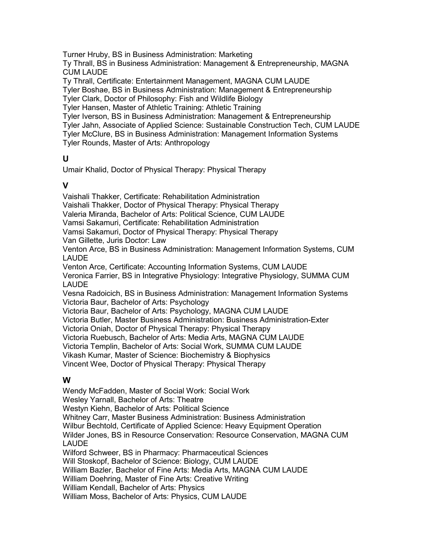Turner Hruby, BS in Business Administration: Marketing

Ty Thrall, BS in Business Administration: Management & Entrepreneurship, MAGNA CUM LAUDE

Ty Thrall, Certificate: Entertainment Management, MAGNA CUM LAUDE

Tyler Boshae, BS in Business Administration: Management & Entrepreneurship

Tyler Clark, Doctor of Philosophy: Fish and Wildlife Biology

Tyler Hansen, Master of Athletic Training: Athletic Training

Tyler Iverson, BS in Business Administration: Management & Entrepreneurship Tyler Jahn, Associate of Applied Science: Sustainable Construction Tech, CUM LAUDE Tyler McClure, BS in Business Administration: Management Information Systems Tyler Rounds, Master of Arts: Anthropology

### **U**

Umair Khalid, Doctor of Physical Therapy: Physical Therapy

## **V**

Vaishali Thakker, Certificate: Rehabilitation Administration

Vaishali Thakker, Doctor of Physical Therapy: Physical Therapy

Valeria Miranda, Bachelor of Arts: Political Science, CUM LAUDE

Vamsi Sakamuri, Certificate: Rehabilitation Administration

Vamsi Sakamuri, Doctor of Physical Therapy: Physical Therapy

Van Gillette, Juris Doctor: Law

Venton Arce, BS in Business Administration: Management Information Systems, CUM LAUDE

Venton Arce, Certificate: Accounting Information Systems, CUM LAUDE

Veronica Farrier, BS in Integrative Physiology: Integrative Physiology, SUMMA CUM LAUDE

Vesna Radoicich, BS in Business Administration: Management Information Systems Victoria Baur, Bachelor of Arts: Psychology

Victoria Baur, Bachelor of Arts: Psychology, MAGNA CUM LAUDE

Victoria Butler, Master Business Administration: Business Administration-Exter

Victoria Oniah, Doctor of Physical Therapy: Physical Therapy

Victoria Ruebusch, Bachelor of Arts: Media Arts, MAGNA CUM LAUDE

Victoria Templin, Bachelor of Arts: Social Work, SUMMA CUM LAUDE

Vikash Kumar, Master of Science: Biochemistry & Biophysics

Vincent Wee, Doctor of Physical Therapy: Physical Therapy

## **W**

Wendy McFadden, Master of Social Work: Social Work Wesley Yarnall, Bachelor of Arts: Theatre Westyn Kiehn, Bachelor of Arts: Political Science Whitney Carr, Master Business Administration: Business Administration Wilbur Bechtold, Certificate of Applied Science: Heavy Equipment Operation Wilder Jones, BS in Resource Conservation: Resource Conservation, MAGNA CUM LAUDE Wilford Schweer, BS in Pharmacy: Pharmaceutical Sciences Will Stoskopf, Bachelor of Science: Biology, CUM LAUDE William Bazler, Bachelor of Fine Arts: Media Arts, MAGNA CUM LAUDE William Doehring, Master of Fine Arts: Creative Writing William Kendall, Bachelor of Arts: Physics William Moss, Bachelor of Arts: Physics, CUM LAUDE